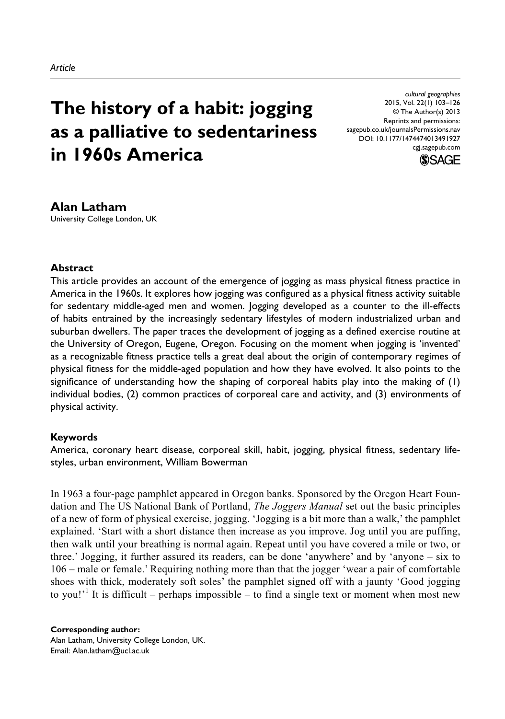# **The history of a habit: jogging as a palliative to sedentariness in 1960s America**

*cultural geographies* 2015, Vol. 22(1) 103–126 © The Author(s) 2013 Reprints and permissions: sagepub.co.uk/journalsPermissions.nav DOI: 10.1177/1474474013491927 cgj.sagepub.com



#### **Alan Latham** University College London, UK

### **Abstract**

This article provides an account of the emergence of jogging as mass physical fitness practice in America in the 1960s. It explores how jogging was configured as a physical fitness activity suitable for sedentary middle-aged men and women. Jogging developed as a counter to the ill-effects of habits entrained by the increasingly sedentary lifestyles of modern industrialized urban and suburban dwellers. The paper traces the development of jogging as a defined exercise routine at the University of Oregon, Eugene, Oregon. Focusing on the moment when jogging is 'invented' as a recognizable fitness practice tells a great deal about the origin of contemporary regimes of physical fitness for the middle-aged population and how they have evolved. It also points to the significance of understanding how the shaping of corporeal habits play into the making of (1) individual bodies, (2) common practices of corporeal care and activity, and (3) environments of physical activity.

### **Keywords**

America, coronary heart disease, corporeal skill, habit, jogging, physical fitness, sedentary lifestyles, urban environment, William Bowerman

In 1963 a four-page pamphlet appeared in Oregon banks. Sponsored by the Oregon Heart Foundation and The US National Bank of Portland, *The Joggers Manual* set out the basic principles of a new of form of physical exercise, jogging. 'Jogging is a bit more than a walk,' the pamphlet explained. 'Start with a short distance then increase as you improve. Jog until you are puffing, then walk until your breathing is normal again. Repeat until you have covered a mile or two, or three.' Jogging, it further assured its readers, can be done 'anywhere' and by 'anyone – six to 106 – male or female.' Requiring nothing more than that the jogger 'wear a pair of comfortable shoes with thick, moderately soft soles' the pamphlet signed off with a jaunty 'Good jogging to you!<sup> $1$ </sup> It is difficult – perhaps impossible – to find a single text or moment when most new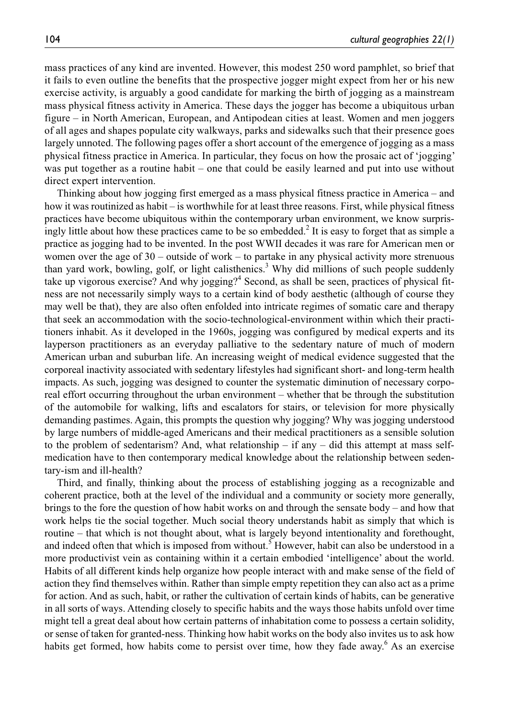mass practices of any kind are invented. However, this modest 250 word pamphlet, so brief that it fails to even outline the benefits that the prospective jogger might expect from her or his new exercise activity, is arguably a good candidate for marking the birth of jogging as a mainstream mass physical fitness activity in America. These days the jogger has become a ubiquitous urban figure – in North American, European, and Antipodean cities at least. Women and men joggers of all ages and shapes populate city walkways, parks and sidewalks such that their presence goes largely unnoted. The following pages offer a short account of the emergence of jogging as a mass physical fitness practice in America. In particular, they focus on how the prosaic act of 'jogging' was put together as a routine habit – one that could be easily learned and put into use without direct expert intervention.

Thinking about how jogging first emerged as a mass physical fitness practice in America – and how it was routinized as habit – is worthwhile for at least three reasons. First, while physical fitness practices have become ubiquitous within the contemporary urban environment, we know surprisingly little about how these practices came to be so embedded.<sup>2</sup> It is easy to forget that as simple a practice as jogging had to be invented. In the post WWII decades it was rare for American men or women over the age of 30 – outside of work – to partake in any physical activity more strenuous than yard work, bowling, golf, or light calisthenics.<sup>3</sup> Why did millions of such people suddenly take up vigorous exercise? And why jogging?<sup>4</sup> Second, as shall be seen, practices of physical fitness are not necessarily simply ways to a certain kind of body aesthetic (although of course they may well be that), they are also often enfolded into intricate regimes of somatic care and therapy that seek an accommodation with the socio-technological-environment within which their practitioners inhabit. As it developed in the 1960s, jogging was configured by medical experts and its layperson practitioners as an everyday palliative to the sedentary nature of much of modern American urban and suburban life. An increasing weight of medical evidence suggested that the corporeal inactivity associated with sedentary lifestyles had significant short- and long-term health impacts. As such, jogging was designed to counter the systematic diminution of necessary corporeal effort occurring throughout the urban environment – whether that be through the substitution of the automobile for walking, lifts and escalators for stairs, or television for more physically demanding pastimes. Again, this prompts the question why jogging? Why was jogging understood by large numbers of middle-aged Americans and their medical practitioners as a sensible solution to the problem of sedentarism? And, what relationship – if any – did this attempt at mass selfmedication have to then contemporary medical knowledge about the relationship between sedentary-ism and ill-health?

Third, and finally, thinking about the process of establishing jogging as a recognizable and coherent practice, both at the level of the individual and a community or society more generally, brings to the fore the question of how habit works on and through the sensate body – and how that work helps tie the social together. Much social theory understands habit as simply that which is routine – that which is not thought about, what is largely beyond intentionality and forethought, and indeed often that which is imposed from without.<sup>5</sup> However, habit can also be understood in a more productivist vein as containing within it a certain embodied 'intelligence' about the world. Habits of all different kinds help organize how people interact with and make sense of the field of action they find themselves within. Rather than simple empty repetition they can also act as a prime for action. And as such, habit, or rather the cultivation of certain kinds of habits, can be generative in all sorts of ways. Attending closely to specific habits and the ways those habits unfold over time might tell a great deal about how certain patterns of inhabitation come to possess a certain solidity, or sense of taken for granted-ness. Thinking how habit works on the body also invites us to ask how habits get formed, how habits come to persist over time, how they fade away.<sup>6</sup> As an exercise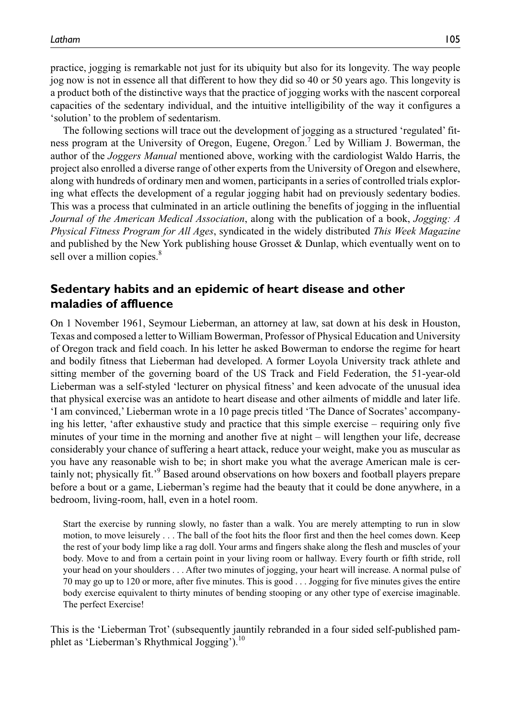practice, jogging is remarkable not just for its ubiquity but also for its longevity. The way people jog now is not in essence all that different to how they did so 40 or 50 years ago. This longevity is a product both of the distinctive ways that the practice of jogging works with the nascent corporeal capacities of the sedentary individual, and the intuitive intelligibility of the way it configures a 'solution' to the problem of sedentarism.

The following sections will trace out the development of jogging as a structured 'regulated' fitness program at the University of Oregon, Eugene, Oregon.<sup>7</sup> Led by William J. Bowerman, the author of the *Joggers Manual* mentioned above, working with the cardiologist Waldo Harris, the project also enrolled a diverse range of other experts from the University of Oregon and elsewhere, along with hundreds of ordinary men and women, participants in a series of controlled trials exploring what effects the development of a regular jogging habit had on previously sedentary bodies. This was a process that culminated in an article outlining the benefits of jogging in the influential *Journal of the American Medical Association*, along with the publication of a book, *Jogging: A Physical Fitness Program for All Ages*, syndicated in the widely distributed *This Week Magazine* and published by the New York publishing house Grosset  $\&$  Dunlap, which eventually went on to sell over a million copies.<sup>8</sup>

## **Sedentary habits and an epidemic of heart disease and other maladies of affluence**

On 1 November 1961, Seymour Lieberman, an attorney at law, sat down at his desk in Houston, Texas and composed a letter to William Bowerman, Professor of Physical Education and University of Oregon track and field coach. In his letter he asked Bowerman to endorse the regime for heart and bodily fitness that Lieberman had developed. A former Loyola University track athlete and sitting member of the governing board of the US Track and Field Federation, the 51-year-old Lieberman was a self-styled 'lecturer on physical fitness' and keen advocate of the unusual idea that physical exercise was an antidote to heart disease and other ailments of middle and later life. 'I am convinced,' Lieberman wrote in a 10 page precis titled 'The Dance of Socrates' accompanying his letter, 'after exhaustive study and practice that this simple exercise – requiring only five minutes of your time in the morning and another five at night – will lengthen your life, decrease considerably your chance of suffering a heart attack, reduce your weight, make you as muscular as you have any reasonable wish to be; in short make you what the average American male is certainly not; physically fit.<sup>39</sup> Based around observations on how boxers and football players prepare before a bout or a game, Lieberman's regime had the beauty that it could be done anywhere, in a bedroom, living-room, hall, even in a hotel room.

Start the exercise by running slowly, no faster than a walk. You are merely attempting to run in slow motion, to move leisurely . . . The ball of the foot hits the floor first and then the heel comes down. Keep the rest of your body limp like a rag doll. Your arms and fingers shake along the flesh and muscles of your body. Move to and from a certain point in your living room or hallway. Every fourth or fifth stride, roll your head on your shoulders . . . After two minutes of jogging, your heart will increase. A normal pulse of 70 may go up to 120 or more, after five minutes. This is good . . . Jogging for five minutes gives the entire body exercise equivalent to thirty minutes of bending stooping or any other type of exercise imaginable. The perfect Exercise!

This is the 'Lieberman Trot' (subsequently jauntily rebranded in a four sided self-published pamphlet as 'Lieberman's Rhythmical Jogging').<sup>10</sup>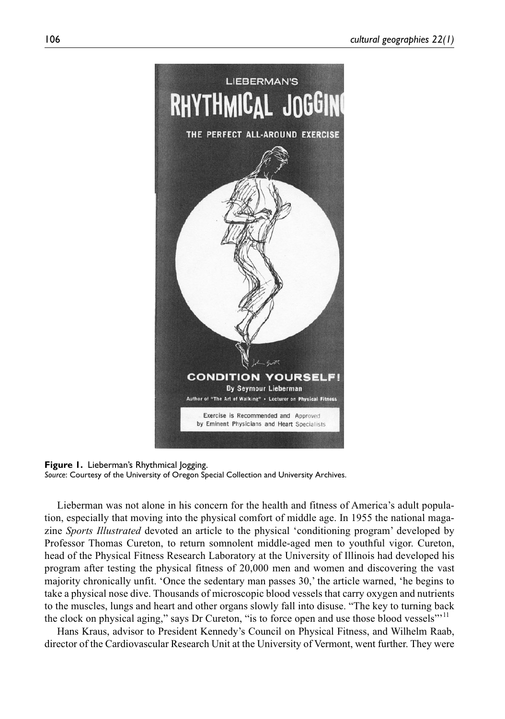

**Figure 1.** Lieberman's Rhythmical logging. *Source*: Courtesy of the University of Oregon Special Collection and University Archives.

Lieberman was not alone in his concern for the health and fitness of America's adult population, especially that moving into the physical comfort of middle age. In 1955 the national magazine *Sports Illustrated* devoted an article to the physical 'conditioning program' developed by Professor Thomas Cureton, to return somnolent middle-aged men to youthful vigor. Cureton, head of the Physical Fitness Research Laboratory at the University of Illinois had developed his program after testing the physical fitness of 20,000 men and women and discovering the vast majority chronically unfit. 'Once the sedentary man passes 30,' the article warned, 'he begins to take a physical nose dive. Thousands of microscopic blood vessels that carry oxygen and nutrients to the muscles, lungs and heart and other organs slowly fall into disuse. "The key to turning back the clock on physical aging," says Dr Cureton, "is to force open and use those blood vessels"<sup>11</sup>

Hans Kraus, advisor to President Kennedy's Council on Physical Fitness, and Wilhelm Raab, director of the Cardiovascular Research Unit at the University of Vermont, went further. They were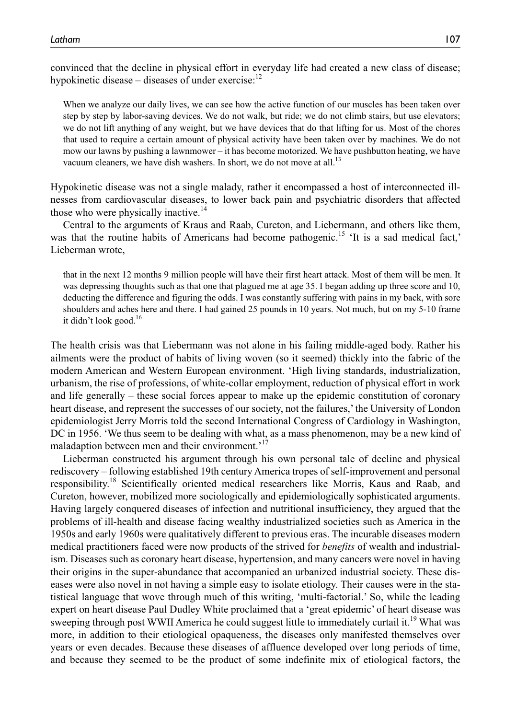convinced that the decline in physical effort in everyday life had created a new class of disease; hypokinetic disease – diseases of under exercise: $12$ 

When we analyze our daily lives, we can see how the active function of our muscles has been taken over step by step by labor-saving devices. We do not walk, but ride; we do not climb stairs, but use elevators; we do not lift anything of any weight, but we have devices that do that lifting for us. Most of the chores that used to require a certain amount of physical activity have been taken over by machines. We do not mow our lawns by pushing a lawnmower – it has become motorized. We have pushbutton heating, we have vacuum cleaners, we have dish washers. In short, we do not move at all.<sup>13</sup>

Hypokinetic disease was not a single malady, rather it encompassed a host of interconnected illnesses from cardiovascular diseases, to lower back pain and psychiatric disorders that affected those who were physically inactive.<sup>14</sup>

Central to the arguments of Kraus and Raab, Cureton, and Liebermann, and others like them, was that the routine habits of Americans had become pathogenic.<sup>15</sup> 'It is a sad medical fact,' Lieberman wrote,

that in the next 12 months 9 million people will have their first heart attack. Most of them will be men. It was depressing thoughts such as that one that plagued me at age 35. I began adding up three score and 10, deducting the difference and figuring the odds. I was constantly suffering with pains in my back, with sore shoulders and aches here and there. I had gained 25 pounds in 10 years. Not much, but on my 5-10 frame it didn't look good.<sup>16</sup>

The health crisis was that Liebermann was not alone in his failing middle-aged body. Rather his ailments were the product of habits of living woven (so it seemed) thickly into the fabric of the modern American and Western European environment. 'High living standards, industrialization, urbanism, the rise of professions, of white-collar employment, reduction of physical effort in work and life generally – these social forces appear to make up the epidemic constitution of coronary heart disease, and represent the successes of our society, not the failures,' the University of London epidemiologist Jerry Morris told the second International Congress of Cardiology in Washington, DC in 1956. 'We thus seem to be dealing with what, as a mass phenomenon, may be a new kind of maladaption between men and their environment.<sup>17</sup>

Lieberman constructed his argument through his own personal tale of decline and physical rediscovery – following established 19th century America tropes of self-improvement and personal responsibility.18 Scientifically oriented medical researchers like Morris, Kaus and Raab, and Cureton, however, mobilized more sociologically and epidemiologically sophisticated arguments. Having largely conquered diseases of infection and nutritional insufficiency, they argued that the problems of ill-health and disease facing wealthy industrialized societies such as America in the 1950s and early 1960s were qualitatively different to previous eras. The incurable diseases modern medical practitioners faced were now products of the strived for *benefits* of wealth and industrialism. Diseases such as coronary heart disease, hypertension, and many cancers were novel in having their origins in the super-abundance that accompanied an urbanized industrial society. These diseases were also novel in not having a simple easy to isolate etiology. Their causes were in the statistical language that wove through much of this writing, 'multi-factorial.' So, while the leading expert on heart disease Paul Dudley White proclaimed that a 'great epidemic' of heart disease was sweeping through post WWII America he could suggest little to immediately curtail it.<sup>19</sup> What was more, in addition to their etiological opaqueness, the diseases only manifested themselves over years or even decades. Because these diseases of affluence developed over long periods of time, and because they seemed to be the product of some indefinite mix of etiological factors, the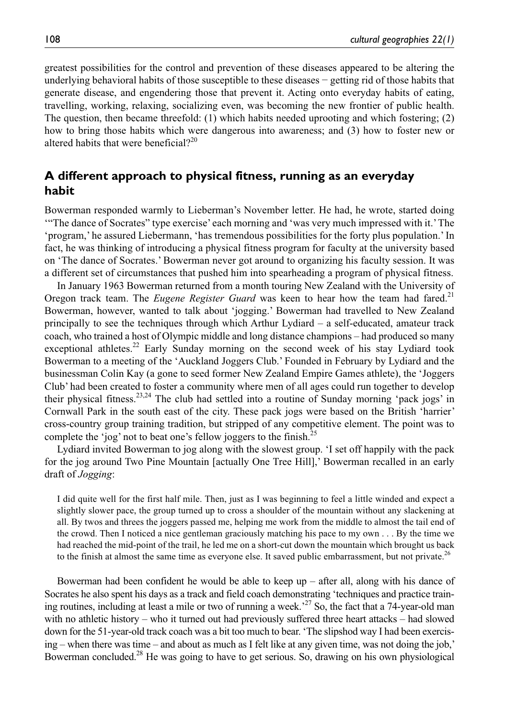greatest possibilities for the control and prevention of these diseases appeared to be altering the underlying behavioral habits of those susceptible to these diseases − getting rid of those habits that generate disease, and engendering those that prevent it. Acting onto everyday habits of eating, travelling, working, relaxing, socializing even, was becoming the new frontier of public health. The question, then became threefold: (1) which habits needed uprooting and which fostering; (2) how to bring those habits which were dangerous into awareness; and (3) how to foster new or altered habits that were beneficial? $2^{20}$ 

## **A different approach to physical fitness, running as an everyday habit**

Bowerman responded warmly to Lieberman's November letter. He had, he wrote, started doing '"The dance of Socrates" type exercise' each morning and 'was very much impressed with it.' The 'program,' he assured Liebermann, 'has tremendous possibilities for the forty plus population.' In fact, he was thinking of introducing a physical fitness program for faculty at the university based on 'The dance of Socrates.' Bowerman never got around to organizing his faculty session. It was a different set of circumstances that pushed him into spearheading a program of physical fitness.

In January 1963 Bowerman returned from a month touring New Zealand with the University of Oregon track team. The *Eugene Register Guard* was keen to hear how the team had fared.<sup>21</sup> Bowerman, however, wanted to talk about 'jogging.' Bowerman had travelled to New Zealand principally to see the techniques through which Arthur Lydiard – a self-educated, amateur track coach, who trained a host of Olympic middle and long distance champions – had produced so many exceptional athletes.<sup>22</sup> Early Sunday morning on the second week of his stay Lydiard took Bowerman to a meeting of the 'Auckland Joggers Club.' Founded in February by Lydiard and the businessman Colin Kay (a gone to seed former New Zealand Empire Games athlete), the 'Joggers Club' had been created to foster a community where men of all ages could run together to develop their physical fitness.23,24 The club had settled into a routine of Sunday morning 'pack jogs' in Cornwall Park in the south east of the city. These pack jogs were based on the British 'harrier' cross-country group training tradition, but stripped of any competitive element. The point was to complete the 'jog' not to beat one's fellow joggers to the finish.<sup>25</sup>

Lydiard invited Bowerman to jog along with the slowest group. 'I set off happily with the pack for the jog around Two Pine Mountain [actually One Tree Hill],' Bowerman recalled in an early draft of *Jogging*:

I did quite well for the first half mile. Then, just as I was beginning to feel a little winded and expect a slightly slower pace, the group turned up to cross a shoulder of the mountain without any slackening at all. By twos and threes the joggers passed me, helping me work from the middle to almost the tail end of the crowd. Then I noticed a nice gentleman graciously matching his pace to my own . . . By the time we had reached the mid-point of the trail, he led me on a short-cut down the mountain which brought us back to the finish at almost the same time as everyone else. It saved public embarrassment, but not private.<sup>26</sup>

Bowerman had been confident he would be able to keep  $up$  – after all, along with his dance of Socrates he also spent his days as a track and field coach demonstrating 'techniques and practice training routines, including at least a mile or two of running a week.<sup>27</sup> So, the fact that a 74-year-old man with no athletic history – who it turned out had previously suffered three heart attacks – had slowed down for the 51-year-old track coach was a bit too much to bear. 'The slipshod way I had been exercising – when there was time – and about as much as I felt like at any given time, was not doing the job,' Bowerman concluded.28 He was going to have to get serious. So, drawing on his own physiological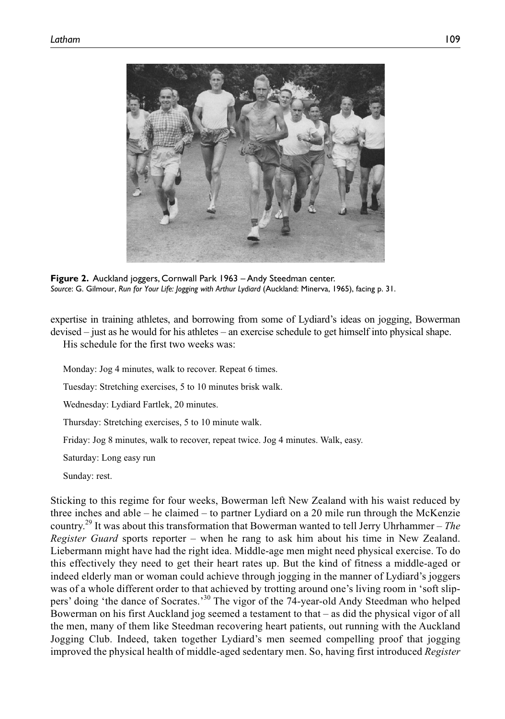

**Figure 2.** Auckland joggers, Cornwall Park 1963 – Andy Steedman center. *Source*: G. Gilmour, *Run for Your Life: Jogging with Arthur Lydiard* (Auckland: Minerva, 1965), facing p. 31.

expertise in training athletes, and borrowing from some of Lydiard's ideas on jogging, Bowerman devised – just as he would for his athletes – an exercise schedule to get himself into physical shape.

His schedule for the first two weeks was:

Monday: Jog 4 minutes, walk to recover. Repeat 6 times.

Tuesday: Stretching exercises, 5 to 10 minutes brisk walk.

Wednesday: Lydiard Fartlek, 20 minutes.

Thursday: Stretching exercises, 5 to 10 minute walk.

Friday: Jog 8 minutes, walk to recover, repeat twice. Jog 4 minutes. Walk, easy.

Saturday: Long easy run

Sunday: rest.

Sticking to this regime for four weeks, Bowerman left New Zealand with his waist reduced by three inches and able – he claimed – to partner Lydiard on a 20 mile run through the McKenzie country.29 It was about this transformation that Bowerman wanted to tell Jerry Uhrhammer – *The Register Guard* sports reporter – when he rang to ask him about his time in New Zealand. Liebermann might have had the right idea. Middle-age men might need physical exercise. To do this effectively they need to get their heart rates up. But the kind of fitness a middle-aged or indeed elderly man or woman could achieve through jogging in the manner of Lydiard's joggers was of a whole different order to that achieved by trotting around one's living room in 'soft slippers' doing 'the dance of Socrates.'<sup>30</sup> The vigor of the 74-year-old Andy Steedman who helped Bowerman on his first Auckland jog seemed a testament to that – as did the physical vigor of all the men, many of them like Steedman recovering heart patients, out running with the Auckland Jogging Club. Indeed, taken together Lydiard's men seemed compelling proof that jogging improved the physical health of middle-aged sedentary men. So, having first introduced *Register*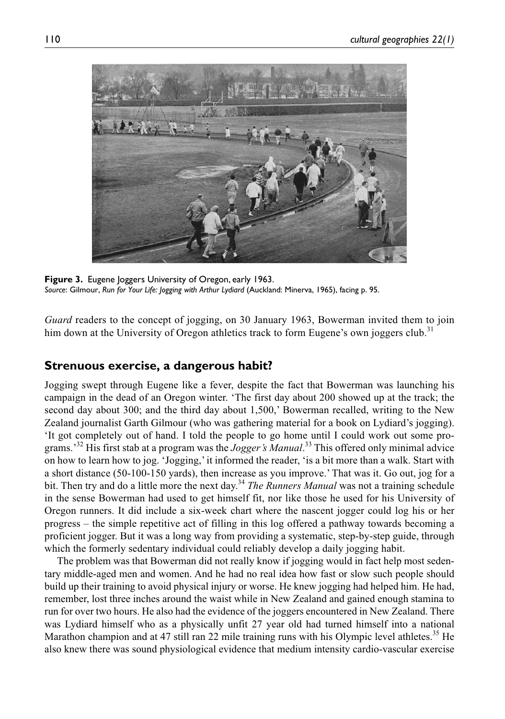

**Figure 3.** Eugene Joggers University of Oregon, early 1963. *Source*: Gilmour, *Run for Your Life: Jogging with Arthur Lydiard* (Auckland: Minerva, 1965), facing p. 95.

*Guard* readers to the concept of jogging, on 30 January 1963, Bowerman invited them to join him down at the University of Oregon athletics track to form Eugene's own joggers club.<sup>31</sup>

### **Strenuous exercise, a dangerous habit?**

Jogging swept through Eugene like a fever, despite the fact that Bowerman was launching his campaign in the dead of an Oregon winter. 'The first day about 200 showed up at the track; the second day about 300; and the third day about 1,500,' Bowerman recalled, writing to the New Zealand journalist Garth Gilmour (who was gathering material for a book on Lydiard's jogging). 'It got completely out of hand. I told the people to go home until I could work out some programs.'32 His first stab at a program was the *Jogger's Manual*. 33 This offered only minimal advice on how to learn how to jog. 'Jogging,' it informed the reader, 'is a bit more than a walk. Start with a short distance (50-100-150 yards), then increase as you improve.' That was it. Go out, jog for a bit. Then try and do a little more the next day.<sup>34</sup> *The Runners Manual* was not a training schedule in the sense Bowerman had used to get himself fit, nor like those he used for his University of Oregon runners. It did include a six-week chart where the nascent jogger could log his or her progress – the simple repetitive act of filling in this log offered a pathway towards becoming a proficient jogger. But it was a long way from providing a systematic, step-by-step guide, through which the formerly sedentary individual could reliably develop a daily jogging habit.

The problem was that Bowerman did not really know if jogging would in fact help most sedentary middle-aged men and women. And he had no real idea how fast or slow such people should build up their training to avoid physical injury or worse. He knew jogging had helped him. He had, remember, lost three inches around the waist while in New Zealand and gained enough stamina to run for over two hours. He also had the evidence of the joggers encountered in New Zealand. There was Lydiard himself who as a physically unfit 27 year old had turned himself into a national Marathon champion and at 47 still ran 22 mile training runs with his Olympic level athletes.<sup>35</sup> He also knew there was sound physiological evidence that medium intensity cardio-vascular exercise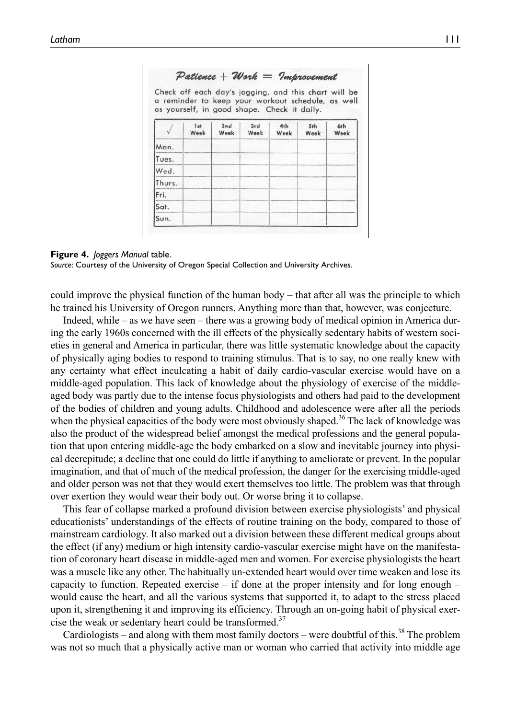|        | Check off each day's jogging, and this chart will be<br>a reminder to keep your workout schedule, as well<br>as yourself, in good shape. Check it daily. |               |             |               |             |             |
|--------|----------------------------------------------------------------------------------------------------------------------------------------------------------|---------------|-------------|---------------|-------------|-------------|
|        | 1st<br>Week                                                                                                                                              | 2nd<br>Week : | 3rd<br>Week | $4*h$<br>Week | 5+h<br>Week | 6th<br>Week |
| Mon.   |                                                                                                                                                          |               |             |               |             |             |
| Tues.  |                                                                                                                                                          |               |             |               |             |             |
| Wed.   |                                                                                                                                                          |               |             |               |             |             |
| Thurs. |                                                                                                                                                          |               |             |               |             |             |
| Fri.   |                                                                                                                                                          |               |             |               |             |             |
| Sat.   |                                                                                                                                                          |               |             |               |             |             |
| Sun.   |                                                                                                                                                          |               |             |               |             |             |

#### **Figure 4.** *Joggers Manual* table.

*Source*: Courtesy of the University of Oregon Special Collection and University Archives.

could improve the physical function of the human body – that after all was the principle to which he trained his University of Oregon runners. Anything more than that, however, was conjecture.

Indeed, while – as we have seen – there was a growing body of medical opinion in America during the early 1960s concerned with the ill effects of the physically sedentary habits of western societies in general and America in particular, there was little systematic knowledge about the capacity of physically aging bodies to respond to training stimulus. That is to say, no one really knew with any certainty what effect inculcating a habit of daily cardio-vascular exercise would have on a middle-aged population. This lack of knowledge about the physiology of exercise of the middleaged body was partly due to the intense focus physiologists and others had paid to the development of the bodies of children and young adults. Childhood and adolescence were after all the periods when the physical capacities of the body were most obviously shaped.<sup>36</sup> The lack of knowledge was also the product of the widespread belief amongst the medical professions and the general population that upon entering middle-age the body embarked on a slow and inevitable journey into physical decrepitude; a decline that one could do little if anything to ameliorate or prevent. In the popular imagination, and that of much of the medical profession, the danger for the exercising middle-aged and older person was not that they would exert themselves too little. The problem was that through over exertion they would wear their body out. Or worse bring it to collapse.

This fear of collapse marked a profound division between exercise physiologists' and physical educationists' understandings of the effects of routine training on the body, compared to those of mainstream cardiology. It also marked out a division between these different medical groups about the effect (if any) medium or high intensity cardio-vascular exercise might have on the manifestation of coronary heart disease in middle-aged men and women. For exercise physiologists the heart was a muscle like any other. The habitually un-extended heart would over time weaken and lose its capacity to function. Repeated exercise – if done at the proper intensity and for long enough – would cause the heart, and all the various systems that supported it, to adapt to the stress placed upon it, strengthening it and improving its efficiency. Through an on-going habit of physical exercise the weak or sedentary heart could be transformed.<sup>37</sup>

Cardiologists – and along with them most family doctors – were doubtful of this.<sup>38</sup> The problem was not so much that a physically active man or woman who carried that activity into middle age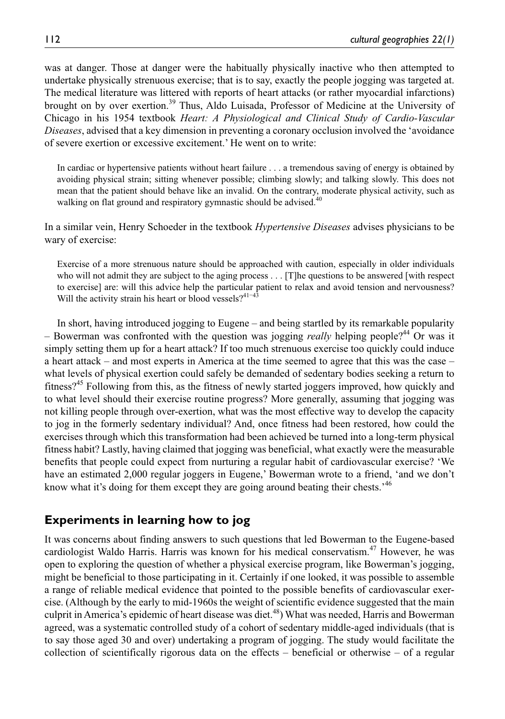was at danger. Those at danger were the habitually physically inactive who then attempted to undertake physically strenuous exercise; that is to say, exactly the people jogging was targeted at. The medical literature was littered with reports of heart attacks (or rather myocardial infarctions) brought on by over exertion.39 Thus, Aldo Luisada, Professor of Medicine at the University of Chicago in his 1954 textbook *Heart: A Physiological and Clinical Study of Cardio-Vascular Diseases*, advised that a key dimension in preventing a coronary occlusion involved the 'avoidance of severe exertion or excessive excitement.' He went on to write:

In cardiac or hypertensive patients without heart failure . . . a tremendous saving of energy is obtained by avoiding physical strain; sitting whenever possible; climbing slowly; and talking slowly. This does not mean that the patient should behave like an invalid. On the contrary, moderate physical activity, such as walking on flat ground and respiratory gymnastic should be advised.<sup>40</sup>

In a similar vein, Henry Schoeder in the textbook *Hypertensive Diseases* advises physicians to be wary of exercise:

Exercise of a more strenuous nature should be approached with caution, especially in older individuals who will not admit they are subject to the aging process . . . [T]he questions to be answered [with respect to exercise] are: will this advice help the particular patient to relax and avoid tension and nervousness? Will the activity strain his heart or blood vessels? $41-43$ 

In short, having introduced jogging to Eugene – and being startled by its remarkable popularity – Bowerman was confronted with the question was jogging *really* helping people?<sup>44</sup> Or was it simply setting them up for a heart attack? If too much strenuous exercise too quickly could induce a heart attack – and most experts in America at the time seemed to agree that this was the case – what levels of physical exertion could safely be demanded of sedentary bodies seeking a return to fitness?45 Following from this, as the fitness of newly started joggers improved, how quickly and to what level should their exercise routine progress? More generally, assuming that jogging was not killing people through over-exertion, what was the most effective way to develop the capacity to jog in the formerly sedentary individual? And, once fitness had been restored, how could the exercises through which this transformation had been achieved be turned into a long-term physical fitness habit? Lastly, having claimed that jogging was beneficial, what exactly were the measurable benefits that people could expect from nurturing a regular habit of cardiovascular exercise? 'We have an estimated 2,000 regular joggers in Eugene,' Bowerman wrote to a friend, 'and we don't know what it's doing for them except they are going around beating their chests.<sup>46</sup>

# **Experiments in learning how to jog**

It was concerns about finding answers to such questions that led Bowerman to the Eugene-based cardiologist Waldo Harris. Harris was known for his medical conservatism.47 However, he was open to exploring the question of whether a physical exercise program, like Bowerman's jogging, might be beneficial to those participating in it. Certainly if one looked, it was possible to assemble a range of reliable medical evidence that pointed to the possible benefits of cardiovascular exercise. (Although by the early to mid-1960s the weight of scientific evidence suggested that the main culprit in America's epidemic of heart disease was diet.<sup>48</sup>) What was needed, Harris and Bowerman agreed, was a systematic controlled study of a cohort of sedentary middle-aged individuals (that is to say those aged 30 and over) undertaking a program of jogging. The study would facilitate the collection of scientifically rigorous data on the effects – beneficial or otherwise – of a regular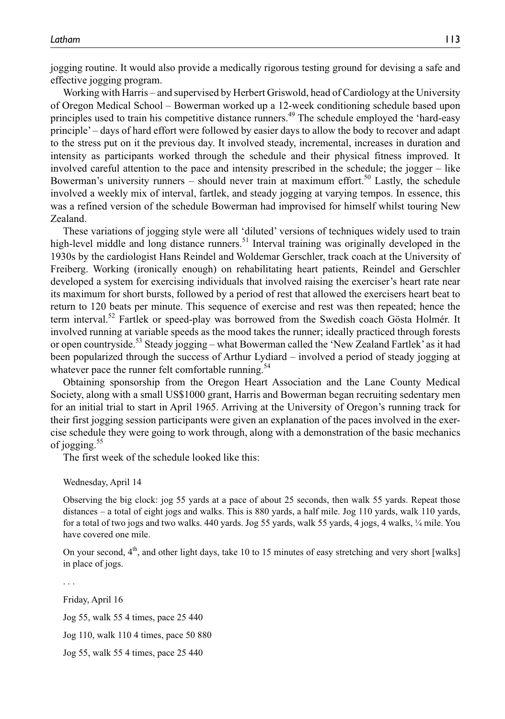jogging routine. It would also provide a medically rigorous testing ground for devising a safe and effective jogging program.

Working with Harris – and supervised by Herbert Griswold, head of Cardiology at the University of Oregon Medical School – Bowerman worked up a 12-week conditioning schedule based upon principles used to train his competitive distance runners.<sup>49</sup> The schedule employed the 'hard-easy principle' – days of hard effort were followed by easier days to allow the body to recover and adapt to the stress put on it the previous day. It involved steady, incremental, increases in duration and intensity as participants worked through the schedule and their physical fitness improved. It involved careful attention to the pace and intensity prescribed in the schedule; the jogger – like Bowerman's university runners – should never train at maximum effort.<sup>50</sup> Lastly, the schedule involved a weekly mix of interval, fartlek, and steady jogging at varying tempos. In essence, this was a refined version of the schedule Bowerman had improvised for himself whilst touring New Zealand.

These variations of jogging style were all 'diluted' versions of techniques widely used to train high-level middle and long distance runners. $51$  Interval training was originally developed in the 1930s by the cardiologist Hans Reindel and Woldemar Gerschler, track coach at the University of Freiberg. Working (ironically enough) on rehabilitating heart patients, Reindel and Gerschler developed a system for exercising individuals that involved raising the exerciser's heart rate near its maximum for short bursts, followed by a period of rest that allowed the exercisers heart beat to return to 120 beats per minute. This sequence of exercise and rest was then repeated; hence the term interval.<sup>52</sup> Fartlek or speed-play was borrowed from the Swedish coach Gösta Holmér. It involved running at variable speeds as the mood takes the runner; ideally practiced through forests or open countryside.<sup>53</sup> Steady jogging – what Bowerman called the 'New Zealand Fartlek' as it had been popularized through the success of Arthur Lydiard – involved a period of steady jogging at whatever pace the runner felt comfortable running.<sup>54</sup>

Obtaining sponsorship from the Oregon Heart Association and the Lane County Medical Society, along with a small US\$1000 grant, Harris and Bowerman began recruiting sedentary men for an initial trial to start in April 1965. Arriving at the University of Oregon's running track for their first jogging session participants were given an explanation of the paces involved in the exercise schedule they were going to work through, along with a demonstration of the basic mechanics of jogging.<sup>55</sup>

The first week of the schedule looked like this:

Wednesday, April 14

. . .

Observing the big clock: jog 55 yards at a pace of about 25 seconds, then walk 55 yards. Repeat those distances – a total of eight jogs and walks. This is 880 yards, a half mile. Jog 110 yards, walk 110 yards, for a total of two jogs and two walks. 440 yards. Jog 55 yards, walk 55 yards, 4 jogs, 4 walks, ¼ mile. You have covered one mile.

On your second, 4<sup>th</sup>, and other light days, take 10 to 15 minutes of easy stretching and very short [walks] in place of jogs.

Friday, April 16 Jog 55, walk 55 4 times, pace 25 440 Jog 110, walk 110 4 times, pace 50 880 Jog 55, walk 55 4 times, pace 25 440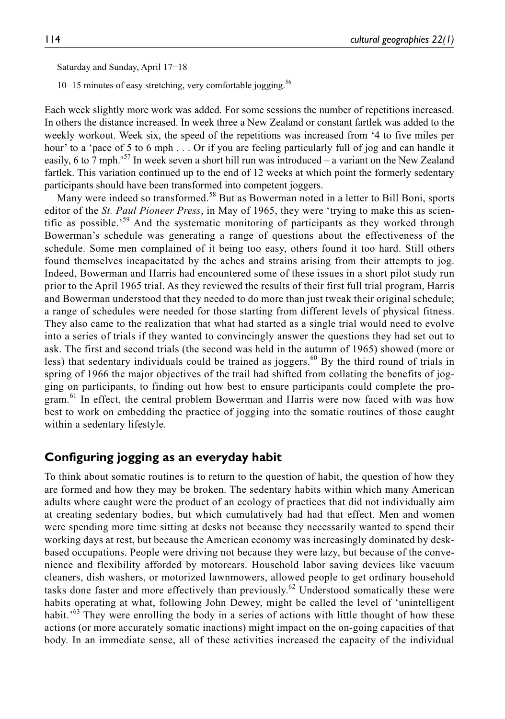Saturday and Sunday, April 17−18

10−15 minutes of easy stretching, very comfortable jogging.56

Each week slightly more work was added. For some sessions the number of repetitions increased. In others the distance increased. In week three a New Zealand or constant fartlek was added to the weekly workout. Week six, the speed of the repetitions was increased from '4 to five miles per hour' to a 'pace of 5 to 6 mph . . . Or if you are feeling particularly full of jog and can handle it easily, 6 to 7 mph.<sup>57</sup> In week seven a short hill run was introduced – a variant on the New Zealand fartlek. This variation continued up to the end of 12 weeks at which point the formerly sedentary participants should have been transformed into competent joggers.

Many were indeed so transformed.<sup>58</sup> But as Bowerman noted in a letter to Bill Boni, sports editor of the *St. Paul Pioneer Press*, in May of 1965, they were 'trying to make this as scientific as possible.'59 And the systematic monitoring of participants as they worked through Bowerman's schedule was generating a range of questions about the effectiveness of the schedule. Some men complained of it being too easy, others found it too hard. Still others found themselves incapacitated by the aches and strains arising from their attempts to jog. Indeed, Bowerman and Harris had encountered some of these issues in a short pilot study run prior to the April 1965 trial. As they reviewed the results of their first full trial program, Harris and Bowerman understood that they needed to do more than just tweak their original schedule; a range of schedules were needed for those starting from different levels of physical fitness. They also came to the realization that what had started as a single trial would need to evolve into a series of trials if they wanted to convincingly answer the questions they had set out to ask. The first and second trials (the second was held in the autumn of 1965) showed (more or less) that sedentary individuals could be trained as joggers.<sup>60</sup> By the third round of trials in spring of 1966 the major objectives of the trail had shifted from collating the benefits of jogging on participants, to finding out how best to ensure participants could complete the program.<sup>61</sup> In effect, the central problem Bowerman and Harris were now faced with was how best to work on embedding the practice of jogging into the somatic routines of those caught within a sedentary lifestyle.

### **Configuring jogging as an everyday habit**

To think about somatic routines is to return to the question of habit, the question of how they are formed and how they may be broken. The sedentary habits within which many American adults where caught were the product of an ecology of practices that did not individually aim at creating sedentary bodies, but which cumulatively had had that effect. Men and women were spending more time sitting at desks not because they necessarily wanted to spend their working days at rest, but because the American economy was increasingly dominated by deskbased occupations. People were driving not because they were lazy, but because of the convenience and flexibility afforded by motorcars. Household labor saving devices like vacuum cleaners, dish washers, or motorized lawnmowers, allowed people to get ordinary household tasks done faster and more effectively than previously.<sup>62</sup> Understood somatically these were habits operating at what, following John Dewey, might be called the level of 'unintelligent habit.<sup> $63$ </sup> They were enrolling the body in a series of actions with little thought of how these actions (or more accurately somatic inactions) might impact on the on-going capacities of that body. In an immediate sense, all of these activities increased the capacity of the individual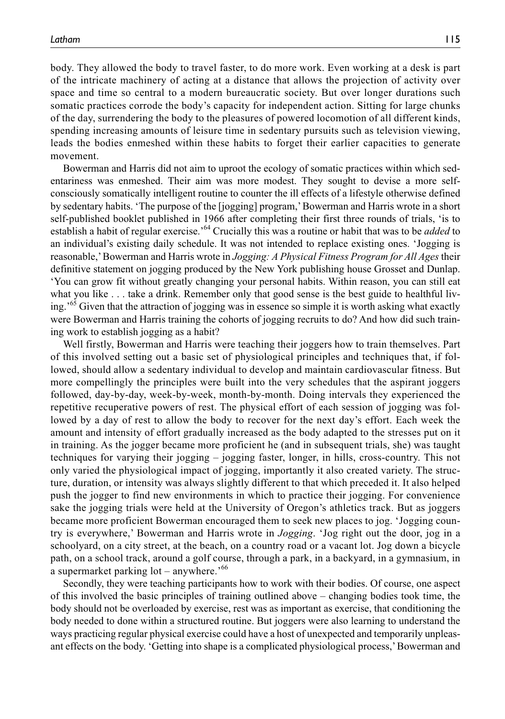body. They allowed the body to travel faster, to do more work. Even working at a desk is part of the intricate machinery of acting at a distance that allows the projection of activity over space and time so central to a modern bureaucratic society. But over longer durations such somatic practices corrode the body's capacity for independent action. Sitting for large chunks of the day, surrendering the body to the pleasures of powered locomotion of all different kinds, spending increasing amounts of leisure time in sedentary pursuits such as television viewing, leads the bodies enmeshed within these habits to forget their earlier capacities to generate movement.

Bowerman and Harris did not aim to uproot the ecology of somatic practices within which sedentariness was enmeshed. Their aim was more modest. They sought to devise a more selfconsciously somatically intelligent routine to counter the ill effects of a lifestyle otherwise defined by sedentary habits. 'The purpose of the [jogging] program,' Bowerman and Harris wrote in a short self-published booklet published in 1966 after completing their first three rounds of trials, 'is to establish a habit of regular exercise.'64 Crucially this was a routine or habit that was to be *added* to an individual's existing daily schedule. It was not intended to replace existing ones. 'Jogging is reasonable,' Bowerman and Harris wrote in *Jogging: A Physical Fitness Program for All Ages* their definitive statement on jogging produced by the New York publishing house Grosset and Dunlap. 'You can grow fit without greatly changing your personal habits. Within reason, you can still eat what you like . . . take a drink. Remember only that good sense is the best guide to healthful living.<sup>555</sup> Given that the attraction of jogging was in essence so simple it is worth asking what exactly were Bowerman and Harris training the cohorts of jogging recruits to do? And how did such training work to establish jogging as a habit?

Well firstly, Bowerman and Harris were teaching their joggers how to train themselves. Part of this involved setting out a basic set of physiological principles and techniques that, if followed, should allow a sedentary individual to develop and maintain cardiovascular fitness. But more compellingly the principles were built into the very schedules that the aspirant joggers followed, day-by-day, week-by-week, month-by-month. Doing intervals they experienced the repetitive recuperative powers of rest. The physical effort of each session of jogging was followed by a day of rest to allow the body to recover for the next day's effort. Each week the amount and intensity of effort gradually increased as the body adapted to the stresses put on it in training. As the jogger became more proficient he (and in subsequent trials, she) was taught techniques for varying their jogging – jogging faster, longer, in hills, cross-country. This not only varied the physiological impact of jogging, importantly it also created variety. The structure, duration, or intensity was always slightly different to that which preceded it. It also helped push the jogger to find new environments in which to practice their jogging. For convenience sake the jogging trials were held at the University of Oregon's athletics track. But as joggers became more proficient Bowerman encouraged them to seek new places to jog. 'Jogging country is everywhere,' Bowerman and Harris wrote in *Jogging*. 'Jog right out the door, jog in a schoolyard, on a city street, at the beach, on a country road or a vacant lot. Jog down a bicycle path, on a school track, around a golf course, through a park, in a backyard, in a gymnasium, in a supermarket parking  $\text{lot}$  – anywhere.<sup>'66</sup>

Secondly, they were teaching participants how to work with their bodies. Of course, one aspect of this involved the basic principles of training outlined above – changing bodies took time, the body should not be overloaded by exercise, rest was as important as exercise, that conditioning the body needed to done within a structured routine. But joggers were also learning to understand the ways practicing regular physical exercise could have a host of unexpected and temporarily unpleasant effects on the body. 'Getting into shape is a complicated physiological process,' Bowerman and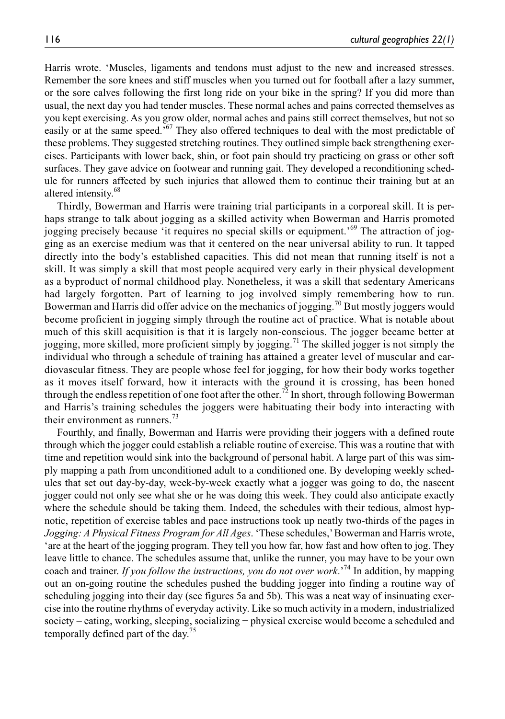Harris wrote. 'Muscles, ligaments and tendons must adjust to the new and increased stresses. Remember the sore knees and stiff muscles when you turned out for football after a lazy summer, or the sore calves following the first long ride on your bike in the spring? If you did more than usual, the next day you had tender muscles. These normal aches and pains corrected themselves as you kept exercising. As you grow older, normal aches and pains still correct themselves, but not so easily or at the same speed.'<sup>67</sup> They also offered techniques to deal with the most predictable of these problems. They suggested stretching routines. They outlined simple back strengthening exercises. Participants with lower back, shin, or foot pain should try practicing on grass or other soft surfaces. They gave advice on footwear and running gait. They developed a reconditioning schedule for runners affected by such injuries that allowed them to continue their training but at an altered intensity.<sup>68</sup>

Thirdly, Bowerman and Harris were training trial participants in a corporeal skill. It is perhaps strange to talk about jogging as a skilled activity when Bowerman and Harris promoted jogging precisely because 'it requires no special skills or equipment.'<sup>69</sup> The attraction of jogging as an exercise medium was that it centered on the near universal ability to run. It tapped directly into the body's established capacities. This did not mean that running itself is not a skill. It was simply a skill that most people acquired very early in their physical development as a byproduct of normal childhood play. Nonetheless, it was a skill that sedentary Americans had largely forgotten. Part of learning to jog involved simply remembering how to run. Bowerman and Harris did offer advice on the mechanics of jogging.<sup>70</sup> But mostly joggers would become proficient in jogging simply through the routine act of practice. What is notable about much of this skill acquisition is that it is largely non-conscious. The jogger became better at jogging, more skilled, more proficient simply by jogging.<sup>71</sup> The skilled jogger is not simply the individual who through a schedule of training has attained a greater level of muscular and cardiovascular fitness. They are people whose feel for jogging, for how their body works together as it moves itself forward, how it interacts with the ground it is crossing, has been honed through the endless repetition of one foot after the other.<sup>72</sup> In short, through following Bowerman and Harris's training schedules the joggers were habituating their body into interacting with their environment as runners.<sup>73</sup>

Fourthly, and finally, Bowerman and Harris were providing their joggers with a defined route through which the jogger could establish a reliable routine of exercise. This was a routine that with time and repetition would sink into the background of personal habit. A large part of this was simply mapping a path from unconditioned adult to a conditioned one. By developing weekly schedules that set out day-by-day, week-by-week exactly what a jogger was going to do, the nascent jogger could not only see what she or he was doing this week. They could also anticipate exactly where the schedule should be taking them. Indeed, the schedules with their tedious, almost hypnotic, repetition of exercise tables and pace instructions took up neatly two-thirds of the pages in *Jogging: A Physical Fitness Program for All Ages*. 'These schedules,' Bowerman and Harris wrote, 'are at the heart of the jogging program. They tell you how far, how fast and how often to jog. They leave little to chance. The schedules assume that, unlike the runner, you may have to be your own coach and trainer. *If you follow the instructions, you do not over work*.'74 In addition, by mapping out an on-going routine the schedules pushed the budding jogger into finding a routine way of scheduling jogging into their day (see figures 5a and 5b). This was a neat way of insinuating exercise into the routine rhythms of everyday activity. Like so much activity in a modern, industrialized society – eating, working, sleeping, socializing – physical exercise would become a scheduled and temporally defined part of the day.<sup>75</sup>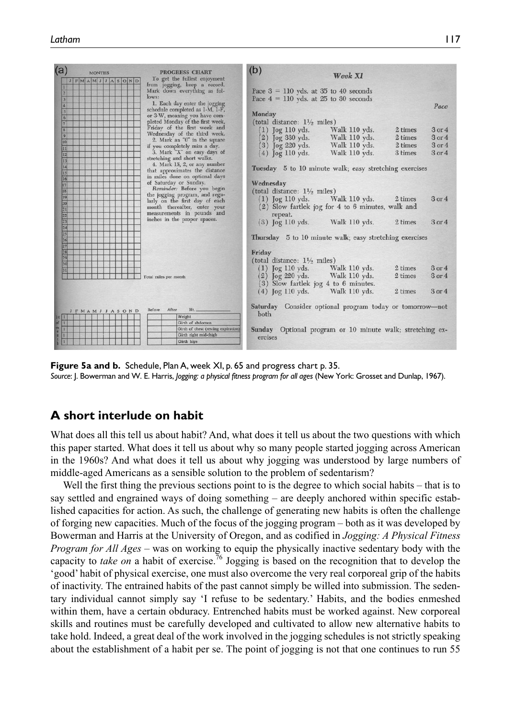| (a)                                                                   | <b>MONTHS</b><br>FMAMJJASOND | <b>PROGRESS CHART</b><br>To get the fullest enjoyment<br>from jogging, keep a record. | (b)<br>Week XI                                            |            |
|-----------------------------------------------------------------------|------------------------------|---------------------------------------------------------------------------------------|-----------------------------------------------------------|------------|
| $\frac{2}{3}$                                                         |                              | Mark down everything as fol-                                                          | Pace $3 = 110$ yds. at 35 to 40 seconds                   |            |
|                                                                       |                              | lows:                                                                                 | Pace $4 = 110$ yds. at 25 to 30 seconds                   |            |
| $\overline{4}$                                                        |                              | 1. Each day enter the jogging<br>schedule completed as 1-M, 1-F,                      |                                                           | Pace       |
| $\overline{5}$<br>$\overline{6}$                                      |                              | or 3-W, meaning you have com-                                                         | <b>Monday</b>                                             |            |
| $\overline{7}$                                                        |                              | pleted Monday of the first week.                                                      | (total distance: $1\frac{1}{2}$ miles)                    |            |
| 8                                                                     |                              | Friday of the first week and                                                          | $(1)$ Jog 110 yds.<br>Walk 110 yds.<br>2 times            | 3 or 4     |
| 9                                                                     |                              | Wednesday of the third week.                                                          | $(2)$ Jog 330 yds.<br>Walk 110 yds.<br>2 times            | $3$ or $4$ |
| 10                                                                    |                              | 2. Mark an "0" in the square                                                          |                                                           | 3 or 4     |
| $\overline{11}$                                                       |                              | if you completely miss a day.                                                         | $(3)$ $\log 220$ yds.<br>Walk 110 yds.<br>2 times         |            |
| $12$                                                                  |                              | 3. Mark "X" on easy days of<br>stretching and short walks.                            | $(4)$ Jog 110 yds.<br>Walk 110 yds.<br>3 times            | 3 or 4     |
| 13                                                                    |                              | 4. Mark 1½, 2, or any number                                                          |                                                           |            |
| 14<br>15                                                              |                              | that approximates the distance                                                        | Tuesday 5 to 10 minute walk; easy stretching exercises    |            |
| 16                                                                    |                              | in miles done on optional days                                                        |                                                           |            |
| 17                                                                    |                              | of Saturday or Sunday.                                                                | Wednesday                                                 |            |
| 18                                                                    |                              | Reminder: Before you begin                                                            | (total distance: $1\frac{1}{2}$ miles)                    |            |
| 19                                                                    |                              | the jogging program, and regu-                                                        | (1) Jog 110 yds. Walk 110 yds.<br>2 times                 | 3 or 4     |
|                                                                       |                              | larly on the first day of each<br>month thereafter, enter your                        | (2) Slow fartlek jog for 4 to 6 minutes, walk and         |            |
| 20<br>21<br>22<br>23                                                  |                              | measurements in pounds and                                                            |                                                           |            |
|                                                                       |                              | inches in the proper spaces.                                                          | repeat.                                                   |            |
| $\overline{24}$                                                       |                              |                                                                                       | $(3)$ $\log 110$ yds. Walk 110 yds.<br>2 times            | 3 or 4     |
| $\overline{25}$                                                       |                              |                                                                                       |                                                           |            |
| $\overline{26}$                                                       |                              |                                                                                       | Thursday 5 to 10 minute walk; easy stretching exercises   |            |
| 27                                                                    |                              |                                                                                       |                                                           |            |
| $\frac{28}{29}$                                                       |                              |                                                                                       | Friday                                                    |            |
|                                                                       |                              |                                                                                       | (total distance: $1\frac{1}{2}$ miles)                    |            |
| 30                                                                    |                              |                                                                                       | (1) Jog 110 yds. Walk 110 yds.<br>2 times                 | $3$ or $4$ |
| 31                                                                    |                              |                                                                                       |                                                           | $3$ or $4$ |
|                                                                       |                              | Total miles per month                                                                 | (2) Jog 220 yds. Walk 110 yds.<br>2 times                 |            |
|                                                                       |                              |                                                                                       | (3) Slow fartlek jog 4 to 6 minutes.                      |            |
|                                                                       |                              |                                                                                       | (4) Jog 110 yds. Walk 110 yds.<br>2 times                 | $3$ or $4$ |
|                                                                       |                              | After<br>Ht.<br><b>Before</b>                                                         | Saturday Consider optional program today or tomorrow-not  |            |
|                                                                       | <b>JFMAMJJASOND</b>          | Weight                                                                                | both                                                      |            |
| $1st$ 1                                                               |                              | Girth of abdomen                                                                      |                                                           |            |
| $\begin{array}{c c}\n\text{of } 1 \\ \hline\n\text{n 1}\n\end{array}$ |                              | Girth of chest (resting expiration)                                                   | Sunday Optional program or 10 minute walk; stretching ex- |            |
| $\vert 1 \vert$                                                       |                              | Girth right mid-thigh                                                                 | ercises                                                   |            |
|                                                                       |                              | Girth hips                                                                            |                                                           |            |
|                                                                       |                              |                                                                                       |                                                           |            |

**Figure 5a and b.** Schedule, Plan A, week XI, p. 65 and progress chart p. 35. *Source*: J. Bowerman and W. E. Harris, *Jogging: a physical fitness program for all ages* (New York: Grosset and Dunlap, 1967).

### **A short interlude on habit**

What does all this tell us about habit? And, what does it tell us about the two questions with which this paper started. What does it tell us about why so many people started jogging across American in the 1960s? And what does it tell us about why jogging was understood by large numbers of middle-aged Americans as a sensible solution to the problem of sedentarism?

Well the first thing the previous sections point to is the degree to which social habits – that is to say settled and engrained ways of doing something – are deeply anchored within specific established capacities for action. As such, the challenge of generating new habits is often the challenge of forging new capacities. Much of the focus of the jogging program – both as it was developed by Bowerman and Harris at the University of Oregon, and as codified in *Jogging: A Physical Fitness Program for All Ages* – was on working to equip the physically inactive sedentary body with the capacity to *take on* a habit of exercise.<sup>76</sup> Jogging is based on the recognition that to develop the 'good' habit of physical exercise, one must also overcome the very real corporeal grip of the habits of inactivity. The entrained habits of the past cannot simply be willed into submission. The sedentary individual cannot simply say 'I refuse to be sedentary.' Habits, and the bodies enmeshed within them, have a certain obduracy. Entrenched habits must be worked against. New corporeal skills and routines must be carefully developed and cultivated to allow new alternative habits to take hold. Indeed, a great deal of the work involved in the jogging schedules is not strictly speaking about the establishment of a habit per se. The point of jogging is not that one continues to run 55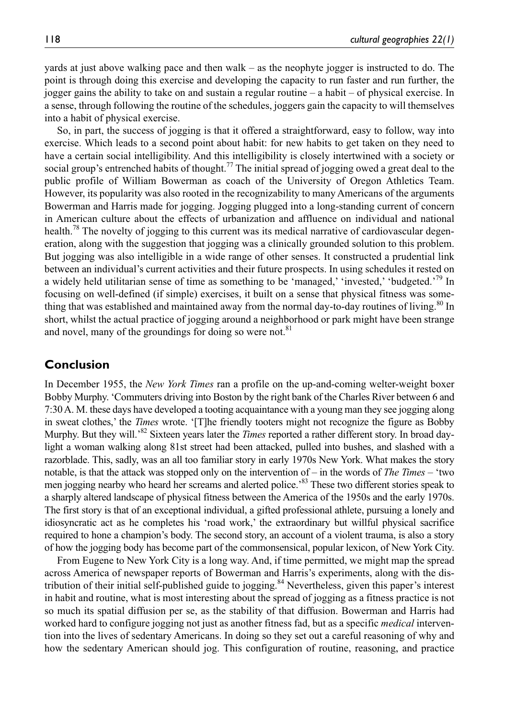yards at just above walking pace and then walk – as the neophyte jogger is instructed to do. The point is through doing this exercise and developing the capacity to run faster and run further, the jogger gains the ability to take on and sustain a regular routine – a habit – of physical exercise. In a sense, through following the routine of the schedules, joggers gain the capacity to will themselves into a habit of physical exercise.

So, in part, the success of jogging is that it offered a straightforward, easy to follow, way into exercise. Which leads to a second point about habit: for new habits to get taken on they need to have a certain social intelligibility. And this intelligibility is closely intertwined with a society or social group's entrenched habits of thought.<sup>77</sup> The initial spread of jogging owed a great deal to the public profile of William Bowerman as coach of the University of Oregon Athletics Team. However, its popularity was also rooted in the recognizability to many Americans of the arguments Bowerman and Harris made for jogging. Jogging plugged into a long-standing current of concern in American culture about the effects of urbanization and affluence on individual and national health.<sup>78</sup> The novelty of jogging to this current was its medical narrative of cardiovascular degeneration, along with the suggestion that jogging was a clinically grounded solution to this problem. But jogging was also intelligible in a wide range of other senses. It constructed a prudential link between an individual's current activities and their future prospects. In using schedules it rested on a widely held utilitarian sense of time as something to be 'managed,' 'invested,' 'budgeted.'<sup>79</sup> In focusing on well-defined (if simple) exercises, it built on a sense that physical fitness was something that was established and maintained away from the normal day-to-day routines of living.<sup>80</sup> In short, whilst the actual practice of jogging around a neighborhood or park might have been strange and novel, many of the groundings for doing so were not.<sup>81</sup>

### **Conclusion**

In December 1955, the *New York Times* ran a profile on the up-and-coming welter-weight boxer Bobby Murphy. 'Commuters driving into Boston by the right bank of the Charles River between 6 and 7:30 A. M. these days have developed a tooting acquaintance with a young man they see jogging along in sweat clothes,' the *Times* wrote. '[T]he friendly tooters might not recognize the figure as Bobby Murphy. But they will.'82 Sixteen years later the *Times* reported a rather different story. In broad daylight a woman walking along 81st street had been attacked, pulled into bushes, and slashed with a razorblade. This, sadly, was an all too familiar story in early 1970s New York. What makes the story notable, is that the attack was stopped only on the intervention of – in the words of *The Times* – 'two men jogging nearby who heard her screams and alerted police.<sup>83</sup> These two different stories speak to a sharply altered landscape of physical fitness between the America of the 1950s and the early 1970s. The first story is that of an exceptional individual, a gifted professional athlete, pursuing a lonely and idiosyncratic act as he completes his 'road work,' the extraordinary but willful physical sacrifice required to hone a champion's body. The second story, an account of a violent trauma, is also a story of how the jogging body has become part of the commonsensical, popular lexicon, of New York City.

From Eugene to New York City is a long way. And, if time permitted, we might map the spread across America of newspaper reports of Bowerman and Harris's experiments, along with the distribution of their initial self-published guide to jogging.<sup>84</sup> Nevertheless, given this paper's interest in habit and routine, what is most interesting about the spread of jogging as a fitness practice is not so much its spatial diffusion per se, as the stability of that diffusion. Bowerman and Harris had worked hard to configure jogging not just as another fitness fad, but as a specific *medical* intervention into the lives of sedentary Americans. In doing so they set out a careful reasoning of why and how the sedentary American should jog. This configuration of routine, reasoning, and practice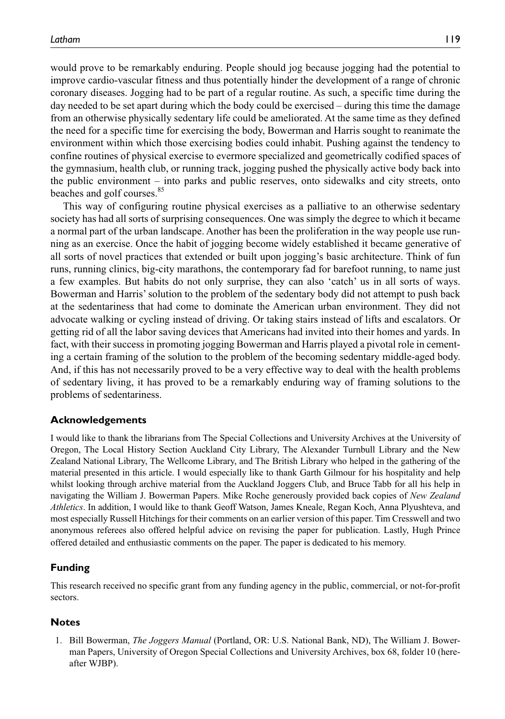would prove to be remarkably enduring. People should jog because jogging had the potential to improve cardio-vascular fitness and thus potentially hinder the development of a range of chronic coronary diseases. Jogging had to be part of a regular routine. As such, a specific time during the day needed to be set apart during which the body could be exercised – during this time the damage from an otherwise physically sedentary life could be ameliorated. At the same time as they defined the need for a specific time for exercising the body, Bowerman and Harris sought to reanimate the environment within which those exercising bodies could inhabit. Pushing against the tendency to confine routines of physical exercise to evermore specialized and geometrically codified spaces of the gymnasium, health club, or running track, jogging pushed the physically active body back into the public environment – into parks and public reserves, onto sidewalks and city streets, onto beaches and golf courses.<sup>85</sup>

This way of configuring routine physical exercises as a palliative to an otherwise sedentary society has had all sorts of surprising consequences. One was simply the degree to which it became a normal part of the urban landscape. Another has been the proliferation in the way people use running as an exercise. Once the habit of jogging become widely established it became generative of all sorts of novel practices that extended or built upon jogging's basic architecture. Think of fun runs, running clinics, big-city marathons, the contemporary fad for barefoot running, to name just a few examples. But habits do not only surprise, they can also 'catch' us in all sorts of ways. Bowerman and Harris' solution to the problem of the sedentary body did not attempt to push back at the sedentariness that had come to dominate the American urban environment. They did not advocate walking or cycling instead of driving. Or taking stairs instead of lifts and escalators. Or getting rid of all the labor saving devices that Americans had invited into their homes and yards. In fact, with their success in promoting jogging Bowerman and Harris played a pivotal role in cementing a certain framing of the solution to the problem of the becoming sedentary middle-aged body. And, if this has not necessarily proved to be a very effective way to deal with the health problems of sedentary living, it has proved to be a remarkably enduring way of framing solutions to the problems of sedentariness.

### **Acknowledgements**

I would like to thank the librarians from The Special Collections and University Archives at the University of Oregon, The Local History Section Auckland City Library, The Alexander Turnbull Library and the New Zealand National Library, The Wellcome Library, and The British Library who helped in the gathering of the material presented in this article. I would especially like to thank Garth Gilmour for his hospitality and help whilst looking through archive material from the Auckland Joggers Club, and Bruce Tabb for all his help in navigating the William J. Bowerman Papers. Mike Roche generously provided back copies of *New Zealand Athletics*. In addition, I would like to thank Geoff Watson, James Kneale, Regan Koch, Anna Plyushteva, and most especially Russell Hitchings for their comments on an earlier version of this paper. Tim Cresswell and two anonymous referees also offered helpful advice on revising the paper for publication. Lastly, Hugh Prince offered detailed and enthusiastic comments on the paper. The paper is dedicated to his memory.

### **Funding**

This research received no specific grant from any funding agency in the public, commercial, or not-for-profit sectors.

### **Notes**

1. Bill Bowerman, *The Joggers Manual* (Portland, OR: U.S. National Bank, ND), The William J. Bowerman Papers, University of Oregon Special Collections and University Archives, box 68, folder 10 (hereafter WJBP).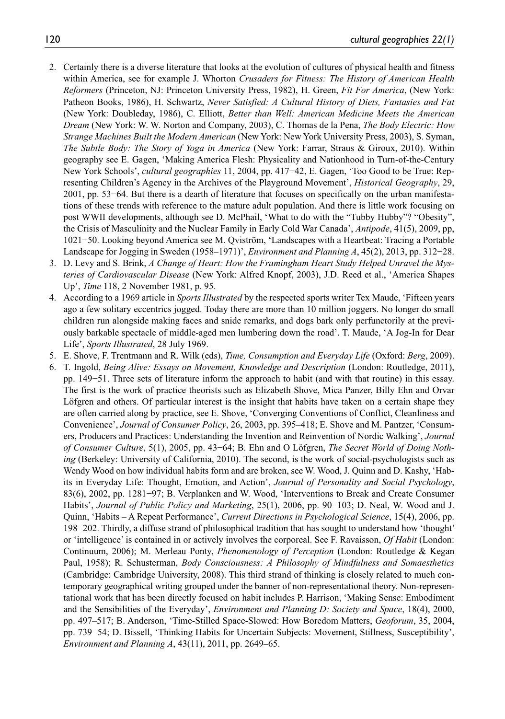- 2. Certainly there is a diverse literature that looks at the evolution of cultures of physical health and fitness within America, see for example J. Whorton *Crusaders for Fitness: The History of American Health Reformers* (Princeton, NJ: Princeton University Press, 1982), H. Green, *Fit For America*, (New York: Patheon Books, 1986), H. Schwartz, *Never Satisfied: A Cultural History of Diets, Fantasies and Fat* (New York: Doubleday, 1986), C. Elliott, *Better than Well: American Medicine Meets the American Dream* (New York: W. W. Norton and Company, 2003), C. Thomas de la Pena, *The Body Electric: How Strange Machines Built the Modern American* (New York: New York University Press, 2003), S. Syman, *The Subtle Body: The Story of Yoga in America* (New York: Farrar, Straus & Giroux, 2010). Within geography see E. Gagen, 'Making America Flesh: Physicality and Nationhood in Turn-of-the-Century New York Schools', *cultural geographies* 11, 2004, pp. 417−42, E. Gagen, 'Too Good to be True: Representing Children's Agency in the Archives of the Playground Movement', *Historical Geography*, 29, 2001, pp. 53−64. But there is a dearth of literature that focuses on specifically on the urban manifestations of these trends with reference to the mature adult population. And there is little work focusing on post WWII developments, although see D. McPhail, 'What to do with the "Tubby Hubby"? "Obesity", the Crisis of Masculinity and the Nuclear Family in Early Cold War Canada', *Antipode*, 41(5), 2009, pp, 1021−50. Looking beyond America see M. Qviström, 'Landscapes with a Heartbeat: Tracing a Portable Landscape for Jogging in Sweden (1958–1971)', *Environment and Planning A*, 45(2), 2013, pp. 312−28.
- 3. D. Levy and S. Brink, *A Change of Heart: How the Framingham Heart Study Helped Unravel the Mysteries of Cardiovascular Disease* (New York: Alfred Knopf, 2003), J.D. Reed et al., 'America Shapes Up', *Time* 118, 2 November 1981, p. 95.
- 4. According to a 1969 article in *Sports Illustrated* by the respected sports writer Tex Maude, 'Fifteen years ago a few solitary eccentrics jogged. Today there are more than 10 million joggers. No longer do small children run alongside making faces and snide remarks, and dogs bark only perfunctorily at the previously barkable spectacle of middle-aged men lumbering down the road'. T. Maude, 'A Jog-In for Dear Life', *Sports Illustrated*, 28 July 1969.
- 5. E. Shove, F. Trentmann and R. Wilk (eds), *Time, Consumption and Everyday Life* (Oxford: *Berg*, 2009).
- 6. T. Ingold, *Being Alive: Essays on Movement, Knowledge and Description* (London: Routledge, 2011), pp. 149−51. Three sets of literature inform the approach to habit (and with that routine) in this essay. The first is the work of practice theorists such as Elizabeth Shove, Mica Panzer, Billy Ehn and Orvar Löfgren and others. Of particular interest is the insight that habits have taken on a certain shape they are often carried along by practice, see E. Shove, 'Converging Conventions of Conflict, Cleanliness and Convenience', *Journal of Consumer Policy*, 26, 2003, pp. 395–418; E. Shove and M. Pantzer, 'Consumers, Producers and Practices: Understanding the Invention and Reinvention of Nordic Walking', *Journal of Consumer Culture*, 5(1), 2005, pp. 43−64; B. Ehn and O Löfgren, *The Secret World of Doing Nothing* (Berkeley: University of California, 2010). The second, is the work of social-psychologists such as Wendy Wood on how individual habits form and are broken, see W. Wood, J. Quinn and D. Kashy, 'Habits in Everyday Life: Thought, Emotion, and Action', *Journal of Personality and Social Psychology*, 83(6), 2002, pp. 1281−97; B. Verplanken and W. Wood, 'Interventions to Break and Create Consumer Habits', *Journal of Public Policy and Marketing*, 25(1), 2006, pp. 90−103; D. Neal, W. Wood and J. Quinn, 'Habits – A Repeat Performance', *Current Directions in Psychological Science*, 15(4), 2006, pp. 198−202. Thirdly, a diffuse strand of philosophical tradition that has sought to understand how 'thought' or 'intelligence' is contained in or actively involves the corporeal. See F. Ravaisson, *Of Habit* (London: Continuum, 2006); M. Merleau Ponty, *Phenomenology of Perception* (London: Routledge & Kegan Paul, 1958); R. Schusterman, *Body Consciousness: A Philosophy of Mindfulness and Somaesthetics* (Cambridge: Cambridge University, 2008). This third strand of thinking is closely related to much contemporary geographical writing grouped under the banner of non-representational theory. Non-representational work that has been directly focused on habit includes P. Harrison, 'Making Sense: Embodiment and the Sensibilities of the Everyday', *Environment and Planning D: Society and Space*, 18(4), 2000, pp. 497–517; B. Anderson, 'Time-Stilled Space-Slowed: How Boredom Matters, *Geoforum*, 35, 2004, pp. 739−54; D. Bissell, 'Thinking Habits for Uncertain Subjects: Movement, Stillness, Susceptibility', *Environment and Planning A*, 43(11), 2011, pp. 2649–65.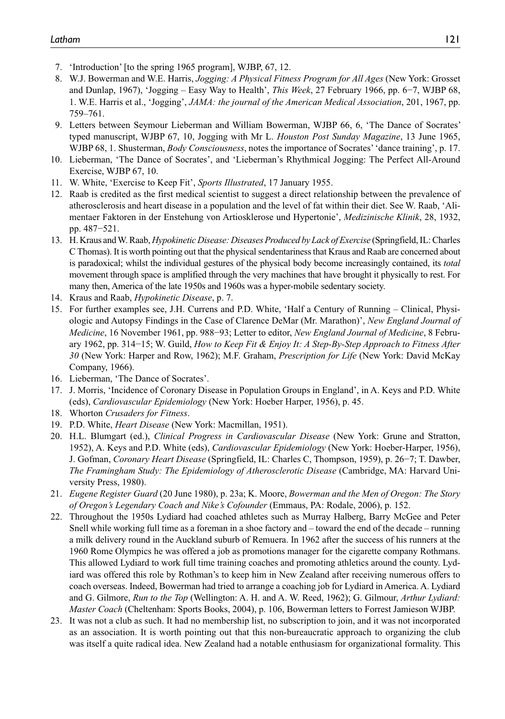- 7. 'Introduction' [to the spring 1965 program], WJBP, 67, 12.
- 8. W.J. Bowerman and W.E. Harris, *Jogging: A Physical Fitness Program for All Ages* (New York: Grosset and Dunlap, 1967), 'Jogging – Easy Way to Health', *This Week*, 27 February 1966, pp. 6−7, WJBP 68, 1. W.E. Harris et al., 'Jogging', *JAMA: the journal of the American Medical Association*, 201, 1967, pp. 759–761.
- 9. Letters between Seymour Lieberman and William Bowerman, WJBP 66, 6, 'The Dance of Socrates' typed manuscript, WJBP 67, 10, Jogging with Mr L. *Houston Post Sunday Magazine*, 13 June 1965, WJBP 68, 1. Shusterman, *Body Consciousness*, notes the importance of Socrates' 'dance training', p. 17.
- 10. Lieberman, 'The Dance of Socrates', and 'Lieberman's Rhythmical Jogging: The Perfect All-Around Exercise, WJBP 67, 10.
- 11. W. White, 'Exercise to Keep Fit', *Sports Illustrated*, 17 January 1955.
- 12. Raab is credited as the first medical scientist to suggest a direct relationship between the prevalence of atherosclerosis and heart disease in a population and the level of fat within their diet. See W. Raab, 'Alimentaer Faktoren in der Enstehung von Artiosklerose und Hypertonie', *Medizinische Klinik*, 28, 1932, pp. 487−521.
- 13. H. Kraus and W. Raab, *Hypokinetic Disease: Diseases Produced by Lack of Exercise* (Springfield, IL: Charles C Thomas). It is worth pointing out that the physical sendentariness that Kraus and Raab are concerned about is paradoxical; whilst the individual gestures of the physical body become increasingly contained, its *total* movement through space is amplified through the very machines that have brought it physically to rest. For many then, America of the late 1950s and 1960s was a hyper-mobile sedentary society.
- 14. Kraus and Raab, *Hypokinetic Disease*, p. 7.
- 15. For further examples see, J.H. Currens and P.D. White, 'Half a Century of Running Clinical, Physiologic and Autopsy Findings in the Case of Clarence DeMar (Mr. Marathon)', *New England Journal of Medicine*, 16 November 1961, pp. 988−93; Letter to editor, *New England Journal of Medicine*, 8 February 1962, pp. 314−15; W. Guild, *How to Keep Fit & Enjoy It: A Step-By-Step Approach to Fitness After 30* (New York: Harper and Row, 1962); M.F. Graham, *Prescription for Life* (New York: David McKay Company, 1966).
- 16. Lieberman, 'The Dance of Socrates'.
- 17. J. Morris, 'Incidence of Coronary Disease in Population Groups in England', in A. Keys and P.D. White (eds), *Cardiovascular Epidemiology* (New York: Hoeber Harper, 1956), p. 45.
- 18. Whorton *Crusaders for Fitness*.
- 19. P.D. White, *Heart Disease* (New York: Macmillan, 1951).
- 20. H.L. Blumgart (ed.), *Clinical Progress in Cardiovascular Disease* (New York: Grune and Stratton, 1952), A. Keys and P.D. White (eds), *Cardiovascular Epidemiology* (New York: Hoeber-Harper, 1956), J. Gofman, *Coronary Heart Disease* (Springfield, IL: Charles C, Thompson, 1959), p. 26−7; T. Dawber, *The Framingham Study: The Epidemiology of Atherosclerotic Disease* (Cambridge, MA: Harvard University Press, 1980).
- 21. *Eugene Register Guard* (20 June 1980), p. 23a; K. Moore, *Bowerman and the Men of Oregon: The Story of Oregon's Legendary Coach and Nike's Cofounder* (Emmaus, PA: Rodale, 2006), p. 152.
- 22. Throughout the 1950s Lydiard had coached athletes such as Murray Halberg, Barry McGee and Peter Snell while working full time as a foreman in a shoe factory and – toward the end of the decade – running a milk delivery round in the Auckland suburb of Remuera. In 1962 after the success of his runners at the 1960 Rome Olympics he was offered a job as promotions manager for the cigarette company Rothmans. This allowed Lydiard to work full time training coaches and promoting athletics around the county. Lydiard was offered this role by Rothman's to keep him in New Zealand after receiving numerous offers to coach overseas. Indeed, Bowerman had tried to arrange a coaching job for Lydiard in America. A. Lydiard and G. Gilmore, *Run to the Top* (Wellington: A. H. and A. W. Reed, 1962); G. Gilmour, *Arthur Lydiard: Master Coach* (Cheltenham: Sports Books, 2004), p. 106, Bowerman letters to Forrest Jamieson WJBP.
- 23. It was not a club as such. It had no membership list, no subscription to join, and it was not incorporated as an association. It is worth pointing out that this non-bureaucratic approach to organizing the club was itself a quite radical idea. New Zealand had a notable enthusiasm for organizational formality. This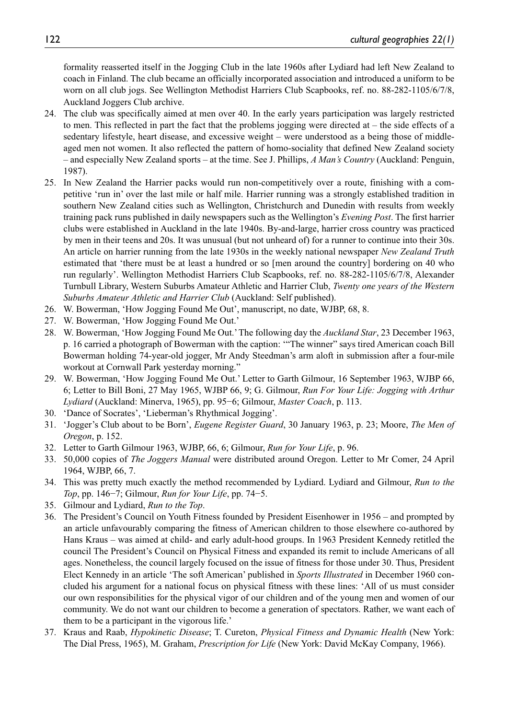formality reasserted itself in the Jogging Club in the late 1960s after Lydiard had left New Zealand to coach in Finland. The club became an officially incorporated association and introduced a uniform to be worn on all club jogs. See Wellington Methodist Harriers Club Scapbooks, ref. no. 88-282-1105/6/7/8, Auckland Joggers Club archive.

- 24. The club was specifically aimed at men over 40. In the early years participation was largely restricted to men. This reflected in part the fact that the problems jogging were directed at – the side effects of a sedentary lifestyle, heart disease, and excessive weight – were understood as a being those of middleaged men not women. It also reflected the pattern of homo-sociality that defined New Zealand society – and especially New Zealand sports – at the time. See J. Phillips, *A Man's Country* (Auckland: Penguin, 1987).
- 25. In New Zealand the Harrier packs would run non-competitively over a route, finishing with a competitive 'run in' over the last mile or half mile. Harrier running was a strongly established tradition in southern New Zealand cities such as Wellington, Christchurch and Dunedin with results from weekly training pack runs published in daily newspapers such as the Wellington's *Evening Post*. The first harrier clubs were established in Auckland in the late 1940s. By-and-large, harrier cross country was practiced by men in their teens and 20s. It was unusual (but not unheard of) for a runner to continue into their 30s. An article on harrier running from the late 1930s in the weekly national newspaper *New Zealand Truth* estimated that 'there must be at least a hundred or so [men around the country] bordering on 40 who run regularly'. Wellington Methodist Harriers Club Scapbooks, ref. no. 88-282-1105/6/7/8, Alexander Turnbull Library, Western Suburbs Amateur Athletic and Harrier Club, *Twenty one years of the Western Suburbs Amateur Athletic and Harrier Club* (Auckland: Self published).
- 26. W. Bowerman, 'How Jogging Found Me Out', manuscript, no date, WJBP, 68, 8.
- 27. W. Bowerman, 'How Jogging Found Me Out.'
- 28. W. Bowerman, 'How Jogging Found Me Out.' The following day the *Auckland Star*, 23 December 1963, p. 16 carried a photograph of Bowerman with the caption: '"The winner" says tired American coach Bill Bowerman holding 74-year-old jogger, Mr Andy Steedman's arm aloft in submission after a four-mile workout at Cornwall Park yesterday morning."
- 29. W. Bowerman, 'How Jogging Found Me Out.' Letter to Garth Gilmour, 16 September 1963, WJBP 66, 6; Letter to Bill Boni, 27 May 1965, WJBP 66, 9; G. Gilmour, *Run For Your Life: Jogging with Arthur Lydiard* (Auckland: Minerva, 1965), pp. 95−6; Gilmour, *Master Coach*, p. 113.
- 30. 'Dance of Socrates', 'Lieberman's Rhythmical Jogging'.
- 31. 'Jogger's Club about to be Born', *Eugene Register Guard*, 30 January 1963, p. 23; Moore, *The Men of Oregon*, p. 152.
- 32. Letter to Garth Gilmour 1963, WJBP, 66, 6; Gilmour, *Run for Your Life*, p. 96.
- 33. 50,000 copies of *The Joggers Manual* were distributed around Oregon. Letter to Mr Comer, 24 April 1964, WJBP, 66, 7.
- 34. This was pretty much exactly the method recommended by Lydiard. Lydiard and Gilmour, *Run to the Top*, pp. 146−7; Gilmour, *Run for Your Life*, pp. 74−5.
- 35. Gilmour and Lydiard, *Run to the Top*.
- 36. The President's Council on Youth Fitness founded by President Eisenhower in 1956 and prompted by an article unfavourably comparing the fitness of American children to those elsewhere co-authored by Hans Kraus – was aimed at child- and early adult-hood groups. In 1963 President Kennedy retitled the council The President's Council on Physical Fitness and expanded its remit to include Americans of all ages. Nonetheless, the council largely focused on the issue of fitness for those under 30. Thus, President Elect Kennedy in an article 'The soft American' published in *Sports Illustrated* in December 1960 concluded his argument for a national focus on physical fitness with these lines: 'All of us must consider our own responsibilities for the physical vigor of our children and of the young men and women of our community. We do not want our children to become a generation of spectators. Rather, we want each of them to be a participant in the vigorous life.'
- 37. Kraus and Raab, *Hypokinetic Disease*; T. Cureton, *Physical Fitness and Dynamic Health* (New York: The Dial Press, 1965), M. Graham, *Prescription for Life* (New York: David McKay Company, 1966).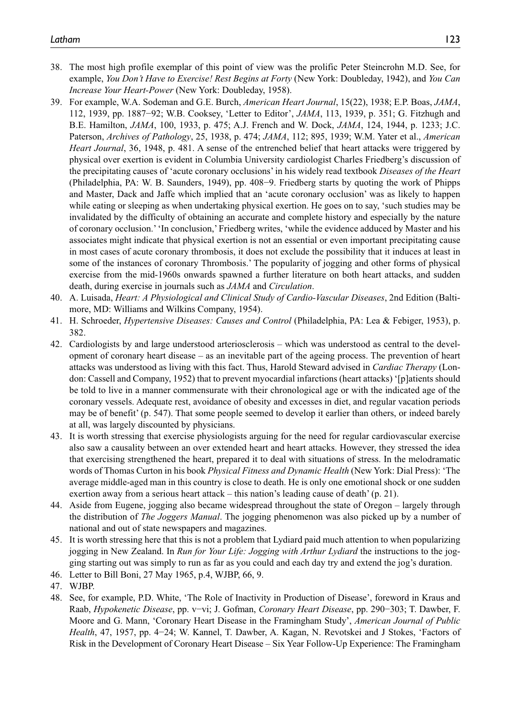- 38. The most high profile exemplar of this point of view was the prolific Peter Steincrohn M.D. See, for example, *You Don't Have to Exercise! Rest Begins at Forty* (New York: Doubleday, 1942), and *You Can Increase Your Heart-Power* (New York: Doubleday, 1958).
- 39. For example, W.A. Sodeman and G.E. Burch, *American Heart Journal*, 15(22), 1938; E.P. Boas, *JAMA*, 112, 1939, pp. 1887−92; W.B. Cooksey, 'Letter to Editor', *JAMA*, 113, 1939, p. 351; G. Fitzhugh and B.E. Hamilton, *JAMA*, 100, 1933, p. 475; A.J. French and W. Dock, *JAMA*, 124, 1944, p. 1233; J.C. Paterson, *Archives of Pathology*, 25, 1938, p. 474; *JAMA*, 112; 895, 1939; W.M. Yater et al., *American Heart Journal*, 36, 1948, p. 481. A sense of the entrenched belief that heart attacks were triggered by physical over exertion is evident in Columbia University cardiologist Charles Friedberg's discussion of the precipitating causes of 'acute coronary occlusions' in his widely read textbook *Diseases of the Heart* (Philadelphia, PA: W. B. Saunders, 1949), pp. 408−9. Friedberg starts by quoting the work of Phipps and Master, Dack and Jaffe which implied that an 'acute coronary occlusion' was as likely to happen while eating or sleeping as when undertaking physical exertion. He goes on to say, 'such studies may be invalidated by the difficulty of obtaining an accurate and complete history and especially by the nature of coronary occlusion.' 'In conclusion,' Friedberg writes, 'while the evidence adduced by Master and his associates might indicate that physical exertion is not an essential or even important precipitating cause in most cases of acute coronary thrombosis, it does not exclude the possibility that it induces at least in some of the instances of coronary Thrombosis.' The popularity of jogging and other forms of physical exercise from the mid-1960s onwards spawned a further literature on both heart attacks, and sudden death, during exercise in journals such as *JAMA* and *Circulation*.
- 40. A. Luisada, *Heart: A Physiological and Clinical Study of Cardio-Vascular Diseases*, 2nd Edition (Baltimore, MD: Williams and Wilkins Company, 1954).
- 41. H. Schroeder, *Hypertensive Diseases: Causes and Control* (Philadelphia, PA: Lea & Febiger, 1953), p. 382.
- 42. Cardiologists by and large understood arteriosclerosis which was understood as central to the development of coronary heart disease – as an inevitable part of the ageing process. The prevention of heart attacks was understood as living with this fact. Thus, Harold Steward advised in *Cardiac Therapy* (London: Cassell and Company, 1952) that to prevent myocardial infarctions (heart attacks) '[p]atients should be told to live in a manner commensurate with their chronological age or with the indicated age of the coronary vessels. Adequate rest, avoidance of obesity and excesses in diet, and regular vacation periods may be of benefit' (p. 547). That some people seemed to develop it earlier than others, or indeed barely at all, was largely discounted by physicians.
- 43. It is worth stressing that exercise physiologists arguing for the need for regular cardiovascular exercise also saw a causality between an over extended heart and heart attacks. However, they stressed the idea that exercising strengthened the heart, prepared it to deal with situations of stress. In the melodramatic words of Thomas Curton in his book *Physical Fitness and Dynamic Health* (New York: Dial Press): 'The average middle-aged man in this country is close to death. He is only one emotional shock or one sudden exertion away from a serious heart attack – this nation's leading cause of death' (p. 21).
- 44. Aside from Eugene, jogging also became widespread throughout the state of Oregon largely through the distribution of *The Joggers Manual*. The jogging phenomenon was also picked up by a number of national and out of state newspapers and magazines.
- 45. It is worth stressing here that this is not a problem that Lydiard paid much attention to when popularizing jogging in New Zealand. In *Run for Your Life: Jogging with Arthur Lydiard* the instructions to the jogging starting out was simply to run as far as you could and each day try and extend the jog's duration.
- 46. Letter to Bill Boni, 27 May 1965, p.4, WJBP, 66, 9.
- 47. WJBP.
- 48. See, for example, P.D. White, 'The Role of Inactivity in Production of Disease', foreword in Kraus and Raab, *Hypokenetic Disease*, pp. v−vi; J. Gofman, *Coronary Heart Disease*, pp. 290−303; T. Dawber, F. Moore and G. Mann, 'Coronary Heart Disease in the Framingham Study', *American Journal of Public Health*, 47, 1957, pp. 4−24; W. Kannel, T. Dawber, A. Kagan, N. Revotskei and J Stokes, 'Factors of Risk in the Development of Coronary Heart Disease – Six Year Follow-Up Experience: The Framingham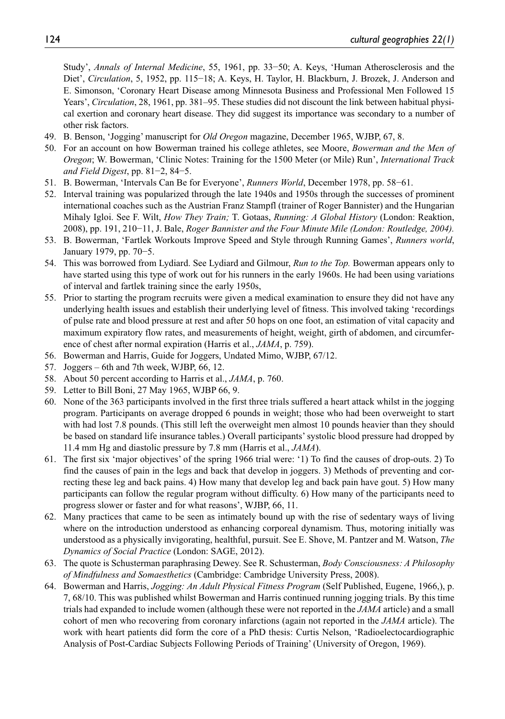Study', *Annals of Internal Medicine*, 55, 1961, pp. 33−50; A. Keys, 'Human Atherosclerosis and the Diet', *Circulation*, 5, 1952, pp. 115−18; A. Keys, H. Taylor, H. Blackburn, J. Brozek, J. Anderson and E. Simonson, 'Coronary Heart Disease among Minnesota Business and Professional Men Followed 15 Years', *Circulation*, 28, 1961, pp. 381–95. These studies did not discount the link between habitual physical exertion and coronary heart disease. They did suggest its importance was secondary to a number of other risk factors.

- 49. B. Benson, 'Jogging' manuscript for *Old Oregon* magazine, December 1965, WJBP, 67, 8.
- 50. For an account on how Bowerman trained his college athletes, see Moore, *Bowerman and the Men of Oregon*; W. Bowerman, 'Clinic Notes: Training for the 1500 Meter (or Mile) Run', *International Track and Field Digest*, pp. 81−2, 84−5.
- 51. B. Bowerman, 'Intervals Can Be for Everyone', *Runners World*, December 1978, pp. 58−61.
- 52. Interval training was popularized through the late 1940s and 1950s through the successes of prominent international coaches such as the Austrian Franz Stampfl (trainer of Roger Bannister) and the Hungarian Mihaly Igloi. See F. Wilt, *How They Train;* T. Gotaas, *Running: A Global History* (London: Reaktion, 2008), pp. 191, 210−11, J. Bale, *Roger Bannister and the Four Minute Mile (London: Routledge, 2004).*
- 53. B. Bowerman, 'Fartlek Workouts Improve Speed and Style through Running Games', *Runners world*, January 1979, pp. 70−5.
- 54. This was borrowed from Lydiard. See Lydiard and Gilmour, *Run to the Top.* Bowerman appears only to have started using this type of work out for his runners in the early 1960s. He had been using variations of interval and fartlek training since the early 1950s,
- 55. Prior to starting the program recruits were given a medical examination to ensure they did not have any underlying health issues and establish their underlying level of fitness. This involved taking 'recordings of pulse rate and blood pressure at rest and after 50 hops on one foot, an estimation of vital capacity and maximum expiratory flow rates, and measurements of height, weight, girth of abdomen, and circumference of chest after normal expiration (Harris et al., *JAMA*, p. 759).
- 56. Bowerman and Harris, Guide for Joggers, Undated Mimo, WJBP, 67/12.
- 57. Joggers 6th and 7th week, WJBP, 66, 12.
- 58. About 50 percent according to Harris et al., *JAMA*, p. 760.
- 59. Letter to Bill Boni, 27 May 1965, WJBP 66, 9.
- 60. None of the 363 participants involved in the first three trials suffered a heart attack whilst in the jogging program. Participants on average dropped 6 pounds in weight; those who had been overweight to start with had lost 7.8 pounds. (This still left the overweight men almost 10 pounds heavier than they should be based on standard life insurance tables.) Overall participants' systolic blood pressure had dropped by 11.4 mm Hg and diastolic pressure by 7.8 mm (Harris et al., *JAMA*).
- 61. The first six 'major objectives' of the spring 1966 trial were: '1) To find the causes of drop-outs. 2) To find the causes of pain in the legs and back that develop in joggers. 3) Methods of preventing and correcting these leg and back pains. 4) How many that develop leg and back pain have gout. 5) How many participants can follow the regular program without difficulty. 6) How many of the participants need to progress slower or faster and for what reasons', WJBP, 66, 11.
- 62. Many practices that came to be seen as intimately bound up with the rise of sedentary ways of living where on the introduction understood as enhancing corporeal dynamism. Thus, motoring initially was understood as a physically invigorating, healthful, pursuit. See E. Shove, M. Pantzer and M. Watson, *The Dynamics of Social Practice* (London: SAGE, 2012).
- 63. The quote is Schusterman paraphrasing Dewey. See R. Schusterman, *Body Consciousness: A Philosophy of Mindfulness and Somaesthetics* (Cambridge: Cambridge University Press, 2008).
- 64. Bowerman and Harris, *Jogging: An Adult Physical Fitness Program* (Self Published, Eugene, 1966,), p. 7, 68/10. This was published whilst Bowerman and Harris continued running jogging trials. By this time trials had expanded to include women (although these were not reported in the *JAMA* article) and a small cohort of men who recovering from coronary infarctions (again not reported in the *JAMA* article). The work with heart patients did form the core of a PhD thesis: Curtis Nelson, 'Radioelectocardiographic Analysis of Post-Cardiac Subjects Following Periods of Training' (University of Oregon, 1969).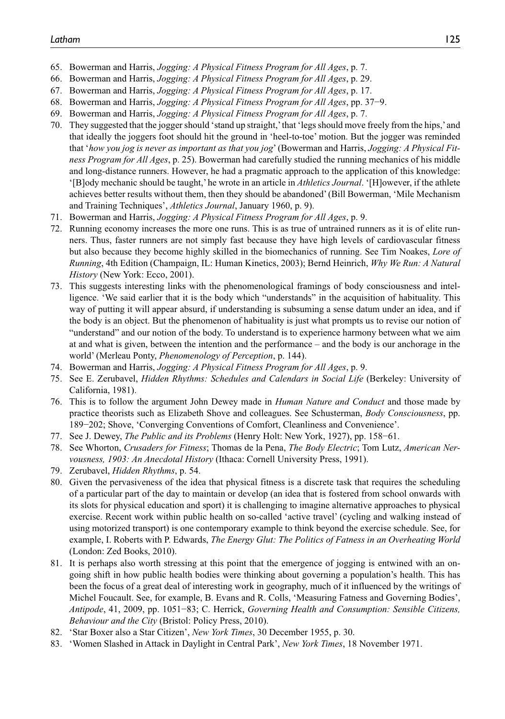- 65. Bowerman and Harris, *Jogging: A Physical Fitness Program for All Ages*, p. 7.
- 66. Bowerman and Harris, *Jogging: A Physical Fitness Program for All Ages*, p. 29.
- 67. Bowerman and Harris, *Jogging: A Physical Fitness Program for All Ages*, p. 17.
- 68. Bowerman and Harris, *Jogging: A Physical Fitness Program for All Ages*, pp. 37−9.
- 69. Bowerman and Harris, *Jogging: A Physical Fitness Program for All Ages*, p. 7.
- 70. They suggested that the jogger should 'stand up straight,' that 'legs should move freely from the hips,' and that ideally the joggers foot should hit the ground in 'heel-to-toe' motion. But the jogger was reminded that '*how you jog is never as important as that you jog*' (Bowerman and Harris, *Jogging: A Physical Fitness Program for All Ages*, p. 25). Bowerman had carefully studied the running mechanics of his middle and long-distance runners. However, he had a pragmatic approach to the application of this knowledge: '[B]ody mechanic should be taught,' he wrote in an article in *Athletics Journal*. '[H]owever, if the athlete achieves better results without them, then they should be abandoned' (Bill Bowerman, 'Mile Mechanism and Training Techniques', *Athletics Journal*, January 1960, p. 9).
- 71. Bowerman and Harris, *Jogging: A Physical Fitness Program for All Ages*, p. 9.
- 72. Running economy increases the more one runs. This is as true of untrained runners as it is of elite runners. Thus, faster runners are not simply fast because they have high levels of cardiovascular fitness but also because they become highly skilled in the biomechanics of running. See Tim Noakes, *Lore of Running*, 4th Edition (Champaign, IL: Human Kinetics, 2003); Bernd Heinrich, *Why We Run: A Natural History* (New York: Ecco, 2001).
- 73. This suggests interesting links with the phenomenological framings of body consciousness and intelligence. 'We said earlier that it is the body which "understands" in the acquisition of habituality. This way of putting it will appear absurd, if understanding is subsuming a sense datum under an idea, and if the body is an object. But the phenomenon of habituality is just what prompts us to revise our notion of "understand" and our notion of the body. To understand is to experience harmony between what we aim at and what is given, between the intention and the performance – and the body is our anchorage in the world' (Merleau Ponty, *Phenomenology of Perception*, p. 144).
- 74. Bowerman and Harris, *Jogging: A Physical Fitness Program for All Ages*, p. 9.
- 75. See E. Zerubavel, *Hidden Rhythms: Schedules and Calendars in Social Life* (Berkeley: University of California, 1981).
- 76. This is to follow the argument John Dewey made in *Human Nature and Conduct* and those made by practice theorists such as Elizabeth Shove and colleagues. See Schusterman, *Body Consciousness*, pp. 189−202; Shove, 'Converging Conventions of Comfort, Cleanliness and Convenience'.
- 77. See J. Dewey, *The Public and its Problems* (Henry Holt: New York, 1927), pp. 158−61.
- 78. See Whorton, *Crusaders for Fitness*; Thomas de la Pena, *The Body Electric*; Tom Lutz, *American Nervousness, 1903: An Anecdotal History* (Ithaca: Cornell University Press, 1991).
- 79. Zerubavel, *Hidden Rhythms*, p. 54.
- 80. Given the pervasiveness of the idea that physical fitness is a discrete task that requires the scheduling of a particular part of the day to maintain or develop (an idea that is fostered from school onwards with its slots for physical education and sport) it is challenging to imagine alternative approaches to physical exercise. Recent work within public health on so-called 'active travel' (cycling and walking instead of using motorized transport) is one contemporary example to think beyond the exercise schedule. See, for example, I. Roberts with P. Edwards, *The Energy Glut: The Politics of Fatness in an Overheating World* (London: Zed Books, 2010).
- 81. It is perhaps also worth stressing at this point that the emergence of jogging is entwined with an ongoing shift in how public health bodies were thinking about governing a population's health. This has been the focus of a great deal of interesting work in geography, much of it influenced by the writings of Michel Foucault. See, for example, B. Evans and R. Colls, 'Measuring Fatness and Governing Bodies', *Antipode*, 41, 2009, pp. 1051−83; C. Herrick, *Governing Health and Consumption: Sensible Citizens, Behaviour and the City* (Bristol: Policy Press, 2010).
- 82. 'Star Boxer also a Star Citizen', *New York Times*, 30 December 1955, p. 30.
- 83. 'Women Slashed in Attack in Daylight in Central Park', *New York Times*, 18 November 1971.